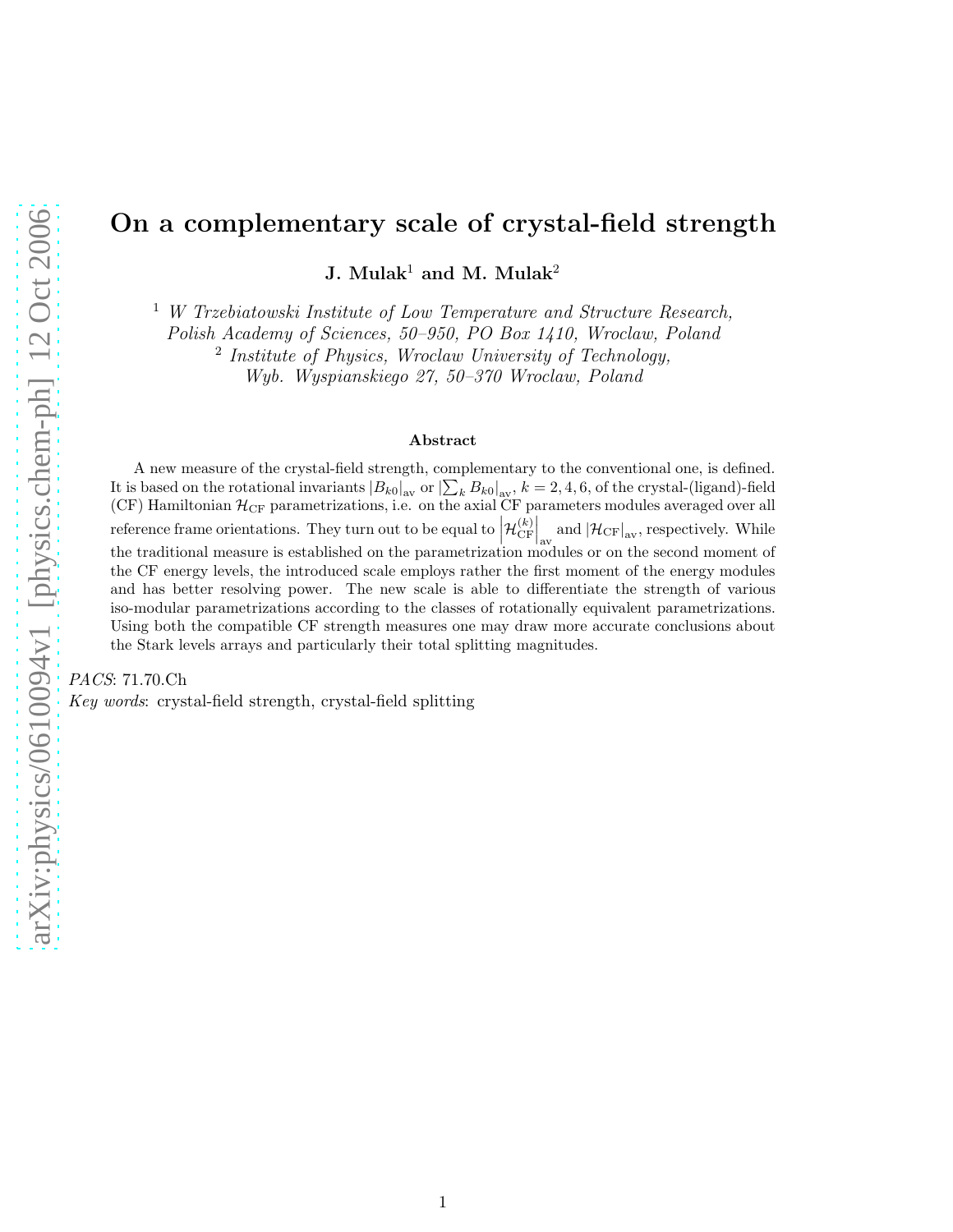# On a complementary scale of crystal-field strength

J. Mulak<sup>1</sup> and M. Mulak<sup>2</sup>

 $1$  W Trzebiatowski Institute of Low Temperature and Structure Research,

Polish Academy of Sciences, 50–950, PO Box 1410, Wroclaw, Poland

<sup>2</sup> Institute of Physics, Wroclaw University of Technology,

Wyb. Wyspianskiego 27, 50–370 Wroclaw, Poland

#### Abstract

A new measure of the crystal-field strength, complementary to the conventional one, is defined. It is based on the rotational invariants  $|B_{k0}|_{av}$  or  $|\sum_{k} B_{k0}|_{av}$ ,  $k = 2, 4, 6$ , of the crystal-(ligand)-field (CF) Hamiltonian  $\mathcal{H}_{CF}$  parametrizations, i.e. on the axial CF parameters modules averaged over all reference frame orientations. They turn out to be equal to  $\left| \mathcal{H}_{\text{CF}}^{(k)} \right|$  $\mathbb{C}[\mathbb{F}]$  and  $\left|\mathcal{H}_{\mathrm{CF}}\right|_{\mathrm{av}}$ , respectively. While the traditional measure is established on the parametrization modules or on the second moment of the CF energy levels, the introduced scale employs rather the first moment of the energy modules and has better resolving power. The new scale is able to differentiate the strength of various iso-modular parametrizations according to the classes of rotationally equivalent parametrizations. Using both the compatible CF strength measures one may draw more accurate conclusions about the Stark levels arrays and particularly their total splitting magnitudes.

PACS: 71.70.Ch

Key words: crystal-field strength, crystal-field splitting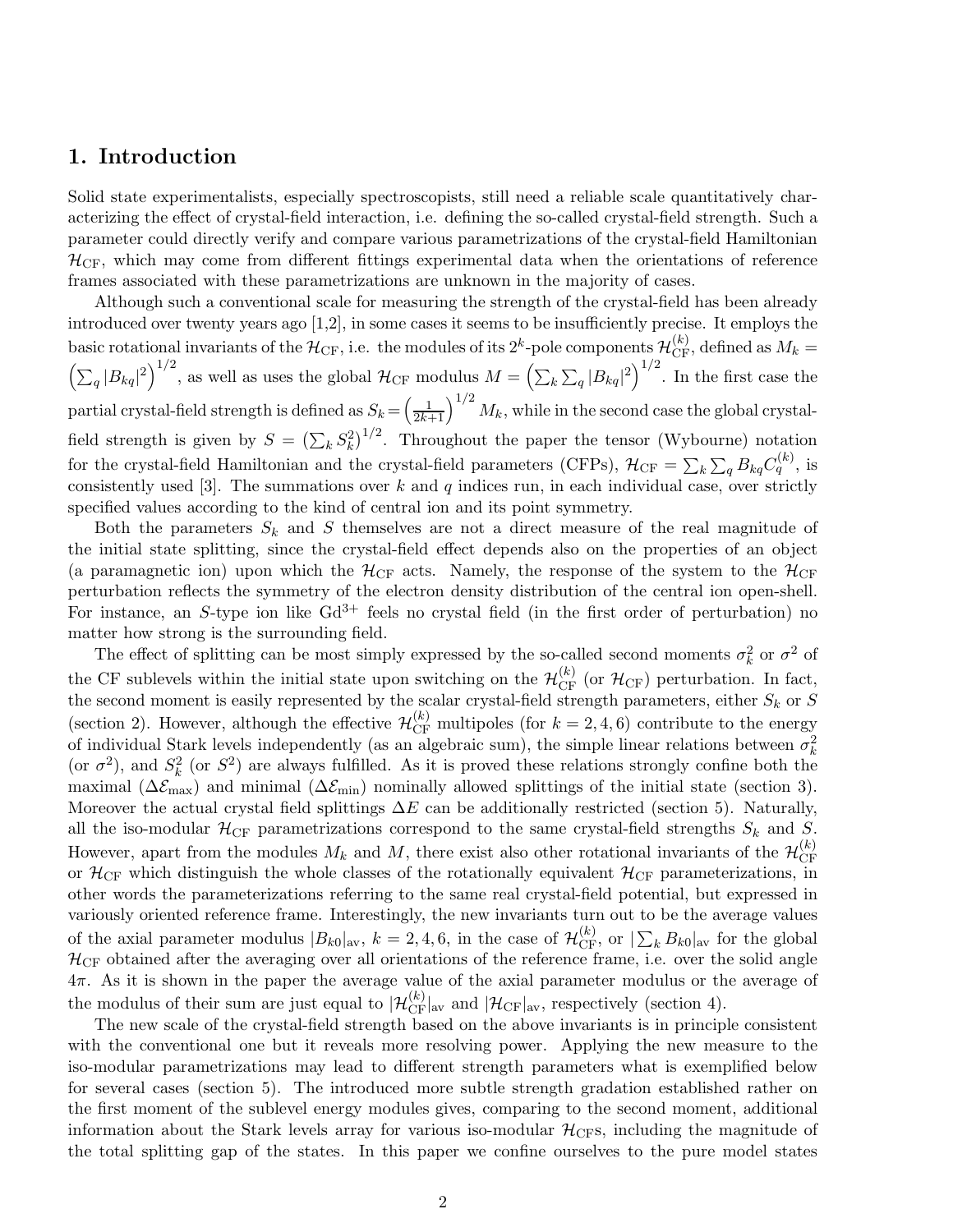## 1. Introduction

Solid state experimentalists, especially spectroscopists, still need a reliable scale quantitatively characterizing the effect of crystal-field interaction, i.e. defining the so-called crystal-field strength. Such a parameter could directly verify and compare various parametrizations of the crystal-field Hamiltonian  $\mathcal{H}_{CF}$ , which may come from different fittings experimental data when the orientations of reference frames associated with these parametrizations are unknown in the majority of cases.

Although such a conventional scale for measuring the strength of the crystal-field has been already introduced over twenty years ago [1,2], in some cases it seems to be insufficiently precise. It employs the basic rotational invariants of the  $\mathcal{H}_{CF}$ , i.e. the modules of its  $2^k$ -pole components  $\mathcal{H}_{CF}^{(k)}$ , defined as  $M_k =$  $\left(\sum_q |B_{kq}|^2\right)^{1/2}$ , as well as uses the global  $\mathcal{H}_{CF}$  modulus  $M = \left(\sum_k \sum_q |B_{kq}|^2\right)^{1/2}$ . In the first case the partial crystal-field strength is defined as  $S_k = \left(\frac{1}{2k+1}\right)^{1/2} M_k$ , while in the second case the global crystalfield strength is given by  $S = (\sum_k S_k^2)^{1/2}$ . Throughout the paper the tensor (Wybourne) notation for the crystal-field Hamiltonian and the crystal-field parameters (CFPs),  $\mathcal{H}_{CF} = \sum_k \sum_q B_{kq} C_q^{(k)}$ , is consistently used [3]. The summations over  $k$  and  $q$  indices run, in each individual case, over strictly specified values according to the kind of central ion and its point symmetry.

Both the parameters  $S_k$  and S themselves are not a direct measure of the real magnitude of the initial state splitting, since the crystal-field effect depends also on the properties of an object (a paramagnetic ion) upon which the  $\mathcal{H}_{CF}$  acts. Namely, the response of the system to the  $\mathcal{H}_{CF}$ perturbation reflects the symmetry of the electron density distribution of the central ion open-shell. For instance, an S-type ion like  $Gd^{3+}$  feels no crystal field (in the first order of perturbation) no matter how strong is the surrounding field.

The effect of splitting can be most simply expressed by the so-called second moments  $\sigma_k^2$  or  $\sigma^2$  of the CF sublevels within the initial state upon switching on the  $\mathcal{H}_{CF}^{(k)}$  (or  $\mathcal{H}_{CF}$ ) perturbation. In fact, the second moment is easily represented by the scalar crystal-field strength parameters, either  $S_k$  or S (section 2). However, although the effective  $\mathcal{H}_{CF}^{(k)}$  multipoles (for  $k = 2, 4, 6$ ) contribute to the energy of individual Stark levels independently (as an algebraic sum), the simple linear relations between  $\sigma_k^2$ (or  $\sigma^2$ ), and  $S_k^2$  (or  $S^2$ ) are always fulfilled. As it is proved these relations strongly confine both the maximal ( $\Delta \mathcal{E}_{\text{max}}$ ) and minimal ( $\Delta \mathcal{E}_{\text{min}}$ ) nominally allowed splittings of the initial state (section 3). Moreover the actual crystal field splittings  $\Delta E$  can be additionally restricted (section 5). Naturally, all the iso-modular  $\mathcal{H}_{CF}$  parametrizations correspond to the same crystal-field strengths  $S_k$  and S. However, apart from the modules  $M_k$  and  $M$ , there exist also other rotational invariants of the  $\mathcal{H}_{CF}^{(k)}$  $CF$ or  $\mathcal{H}_{\rm CF}$  which distinguish the whole classes of the rotationally equivalent  $\mathcal{H}_{\rm CF}$  parameterizations, in other words the parameterizations referring to the same real crystal-field potential, but expressed in variously oriented reference frame. Interestingly, the new invariants turn out to be the average values of the axial parameter modulus  $|B_{k0}|_{\text{av}}$ ,  $k = 2, 4, 6$ , in the case of  $\mathcal{H}_{\text{CF}}^{(k)}$ , or  $|\sum_{k} B_{k0}|_{\text{av}}$  for the global  $H<sub>CF</sub>$  obtained after the averaging over all orientations of the reference frame, i.e. over the solid angle  $4\pi$ . As it is shown in the paper the average value of the axial parameter modulus or the average of the modulus of their sum are just equal to  $|\mathcal{H}_{CF}^{(k)}|_{\text{av}}$  and  $|\mathcal{H}_{CF}|_{\text{av}}$ , respectively (section 4).

The new scale of the crystal-field strength based on the above invariants is in principle consistent with the conventional one but it reveals more resolving power. Applying the new measure to the iso-modular parametrizations may lead to different strength parameters what is exemplified below for several cases (section 5). The introduced more subtle strength gradation established rather on the first moment of the sublevel energy modules gives, comparing to the second moment, additional information about the Stark levels array for various iso-modular  $\mathcal{H}_{CFS}$ , including the magnitude of the total splitting gap of the states. In this paper we confine ourselves to the pure model states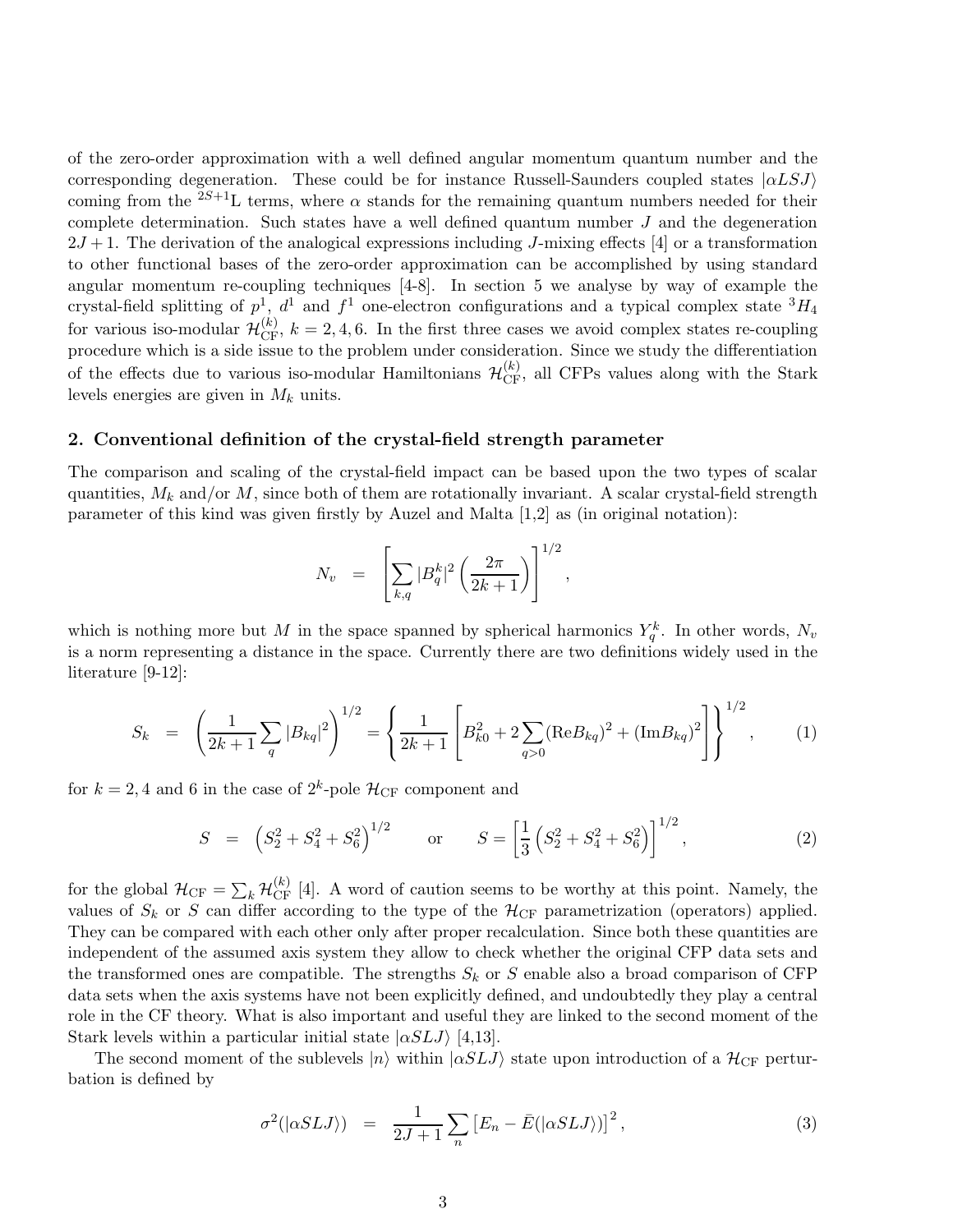of the zero-order approximation with a well defined angular momentum quantum number and the corresponding degeneration. These could be for instance Russell-Saunders coupled states  $|\alpha L S J\rangle$ coming from the  ${}^{2S+1}L$  terms, where  $\alpha$  stands for the remaining quantum numbers needed for their complete determination. Such states have a well defined quantum number  $J$  and the degeneration  $2J+1$ . The derivation of the analogical expressions including J-mixing effects [4] or a transformation to other functional bases of the zero-order approximation can be accomplished by using standard angular momentum re-coupling techniques [4-8]. In section 5 we analyse by way of example the crystal-field splitting of  $p^1$ ,  $d^1$  and  $f^1$  one-electron configurations and a typical complex state  ${}^3H_4$ for various iso-modular  $\mathcal{H}_{CF}^{(k)}$ ,  $k = 2, 4, 6$ . In the first three cases we avoid complex states re-coupling procedure which is a side issue to the problem under consideration. Since we study the differentiation of the effects due to various iso-modular Hamiltonians  $\mathcal{H}_{CF}^{(k)}$ , all CFPs values along with the Stark levels energies are given in  $M_k$  units.

#### 2. Conventional definition of the crystal-field strength parameter

The comparison and scaling of the crystal-field impact can be based upon the two types of scalar quantities,  $M_k$  and/or M, since both of them are rotationally invariant. A scalar crystal-field strength parameter of this kind was given firstly by Auzel and Malta [1,2] as (in original notation):

$$
N_v = \left[ \sum_{k,q} |B_q^k|^2 \left( \frac{2\pi}{2k+1} \right) \right]^{1/2},
$$

which is nothing more but M in the space spanned by spherical harmonics  $Y_q^k$ . In other words,  $N_v$ is a norm representing a distance in the space. Currently there are two definitions widely used in the literature [9-12]:

$$
S_k = \left(\frac{1}{2k+1}\sum_{q} |B_{kq}|^2\right)^{1/2} = \left\{\frac{1}{2k+1}\left[B_{k0}^2 + 2\sum_{q>0} (\text{Re}B_{kq})^2 + (\text{Im}B_{kq})^2\right]\right\}^{1/2},\tag{1}
$$

for  $k = 2, 4$  and 6 in the case of  $2^k$ -pole  $\mathcal{H}_{CF}$  component and

$$
S = (S_2^2 + S_4^2 + S_6^2)^{1/2} \qquad \text{or} \qquad S = \left[\frac{1}{3}(S_2^2 + S_4^2 + S_6^2)\right]^{1/2},\tag{2}
$$

for the global  $\mathcal{H}_{CF} = \sum_k \mathcal{H}_{CF}^{(k)}$  [4]. A word of caution seems to be worthy at this point. Namely, the values of  $S_k$  or S can differ according to the type of the  $\mathcal{H}_{CF}$  parametrization (operators) applied. They can be compared with each other only after proper recalculation. Since both these quantities are independent of the assumed axis system they allow to check whether the original CFP data sets and the transformed ones are compatible. The strengths  $S_k$  or S enable also a broad comparison of CFP data sets when the axis systems have not been explicitly defined, and undoubtedly they play a central role in the CF theory. What is also important and useful they are linked to the second moment of the Stark levels within a particular initial state  $|\alpha SLJ\rangle$  [4,13].

The second moment of the sublevels  $|n\rangle$  within  $|\alpha SLJ\rangle$  state upon introduction of a  $\mathcal{H}_{CF}$  perturbation is defined by

$$
\sigma^2(|\alpha SLJ\rangle) = \frac{1}{2J+1}\sum_n \left[E_n - \bar{E}(|\alpha SLJ\rangle)\right]^2, \tag{3}
$$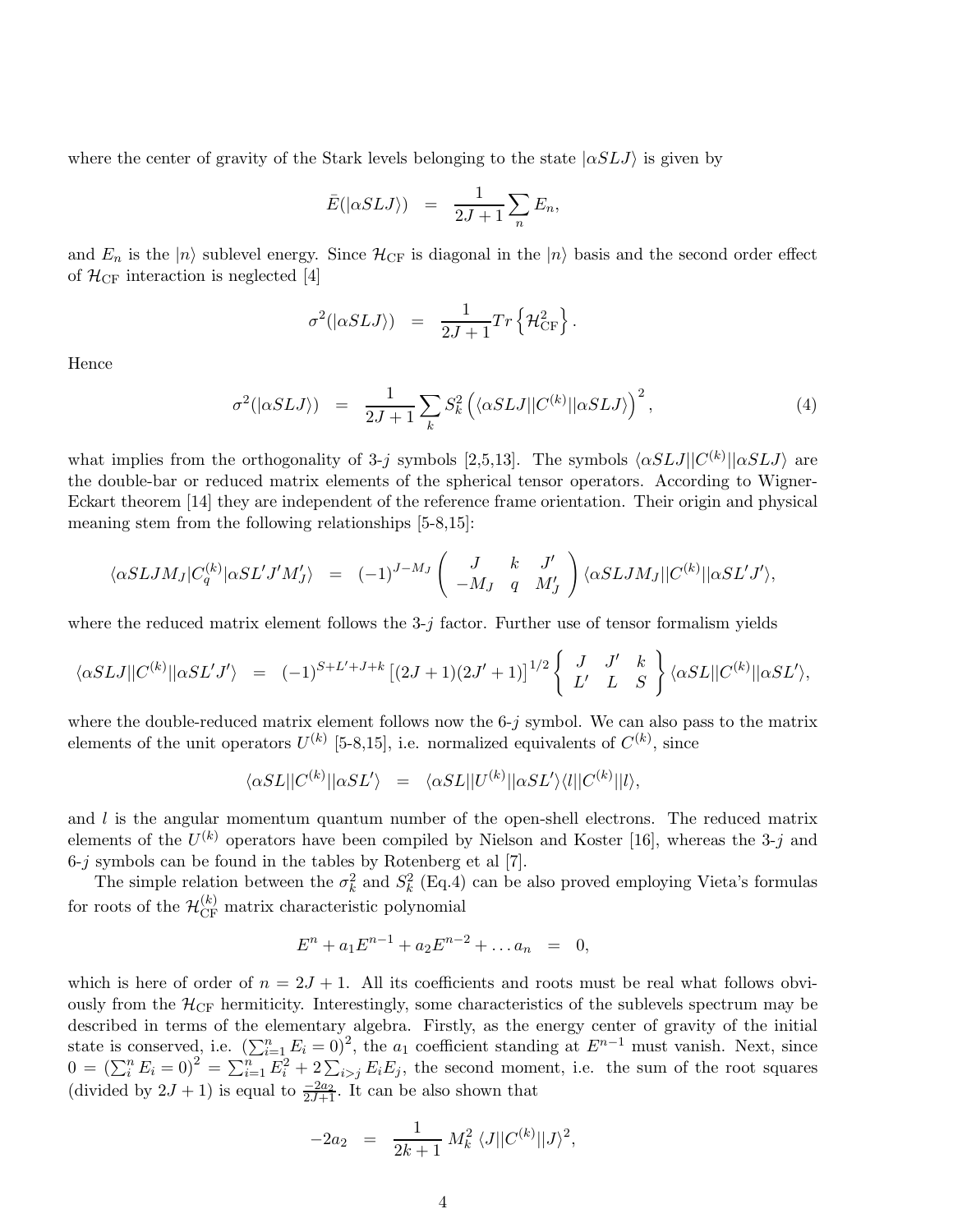where the center of gravity of the Stark levels belonging to the state  $|\alpha SLJ\rangle$  is given by

$$
\bar{E}(|\alpha SLJ\rangle) = \frac{1}{2J+1}\sum_{n} E_n,
$$

and  $E_n$  is the  $|n\rangle$  sublevel energy. Since  $\mathcal{H}_{CF}$  is diagonal in the  $|n\rangle$  basis and the second order effect of  $\mathcal{H}_{CF}$  interaction is neglected [4]

$$
\sigma^2(|\alpha SLJ\rangle) = \frac{1}{2J+1}Tr\left\{\mathcal{H}_{CF}^2\right\}.
$$

Hence

$$
\sigma^2(|\alpha SLJ\rangle) = \frac{1}{2J+1} \sum_{k} S_k^2 \left( \langle \alpha SLJ | C^{(k)} | \alpha SLJ \rangle \right)^2, \tag{4}
$$

what implies from the orthogonality of 3-j symbols [2,5,13]. The symbols  $\langle \alpha SLJ||C^{(k)}||\alpha SLJ\rangle$  are the double-bar or reduced matrix elements of the spherical tensor operators. According to Wigner-Eckart theorem [14] they are independent of the reference frame orientation. Their origin and physical meaning stem from the following relationships [5-8,15]:

$$
\langle \alpha SLJM_J|C_q^{(k)}|\alpha SL'J'M'_J\rangle\;\;=\;\;(-1)^{J-M_J}\left(\begin{array}{ccc}J&k&J'\\-M_J&q&M'_J\end{array}\right)\langle \alpha SLJM_J||C^{(k)}||\alpha SL'J'\rangle,
$$

where the reduced matrix element follows the  $3-j$  factor. Further use of tensor formalism yields

$$
\langle \alpha SLJ || C^{(k)} || \alpha SL'J' \rangle = (-1)^{S+L'+J+k} \left[ (2J+1)(2J'+1) \right]^{1/2} \left\{ \begin{array}{cc} J & J' & k \\ L' & L & S \end{array} \right\} \langle \alpha SL || C^{(k)} || \alpha SL' \rangle,
$$

where the double-reduced matrix element follows now the  $6-i$  symbol. We can also pass to the matrix elements of the unit operators  $U^{(k)}$  [5-8,15], i.e. normalized equivalents of  $C^{(k)}$ , since

$$
\langle \alpha SL||C^{(k)}||\alpha SL'\rangle = \langle \alpha SL||U^{(k)}||\alpha SL'\rangle\langle l||C^{(k)}||l\rangle,
$$

and  $l$  is the angular momentum quantum number of the open-shell electrons. The reduced matrix elements of the  $U^{(k)}$  operators have been compiled by Nielson and Koster [16], whereas the 3-j and  $6-j$  symbols can be found in the tables by Rotenberg et al  $[7]$ .

The simple relation between the  $\sigma_k^2$  and  $S_k^2$  (Eq.4) can be also proved employing Vieta's formulas for roots of the  $\mathcal{H}_{\rm CF}^{(k)}$  matrix characteristic polynomial

$$
E^{n} + a_1 E^{n-1} + a_2 E^{n-2} + \dots a_n = 0,
$$

which is here of order of  $n = 2J + 1$ . All its coefficients and roots must be real what follows obviously from the  $\mathcal{H}_{CF}$  hermiticity. Interestingly, some characteristics of the sublevels spectrum may be described in terms of the elementary algebra. Firstly, as the energy center of gravity of the initial state is conserved, i.e.  $(\sum_{i=1}^n E_i = 0)^2$ , the  $a_1$  coefficient standing at  $E^{n-1}$  must vanish. Next, since  $0 = (\sum_i^n E_i = 0)^2 = \sum_{i=1}^n E_i^2 + 2 \sum_{i>j} E_i E_j$ , the second moment, i.e. the sum of the root squares (divided by  $2J + 1$ ) is equal to  $\frac{-2a_2}{2J+1}$ . It can be also shown that

$$
-2a_2 = \frac{1}{2k+1} M_k^2 \langle J || C^{(k)} || J \rangle^2,
$$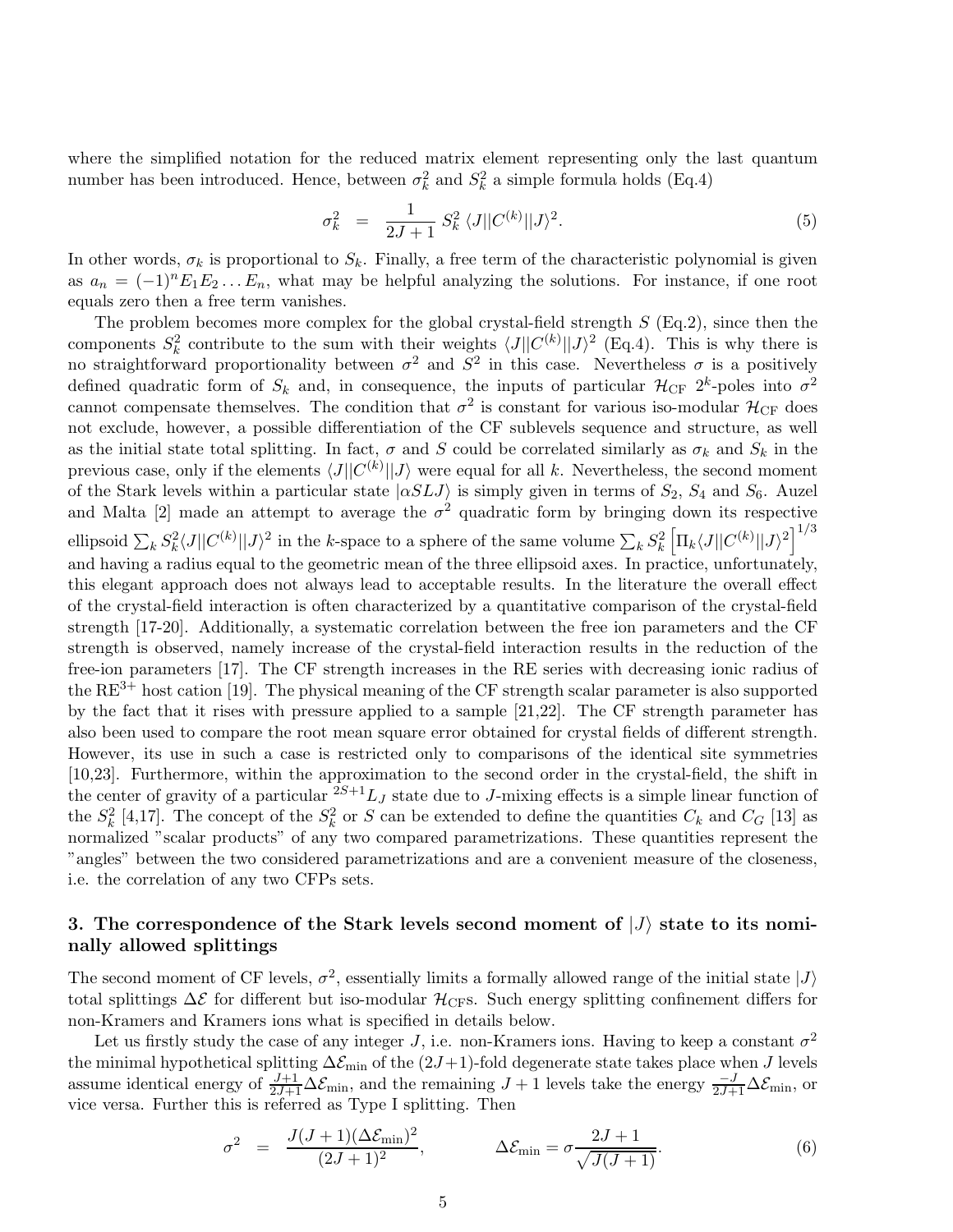where the simplified notation for the reduced matrix element representing only the last quantum number has been introduced. Hence, between  $\sigma_k^2$  and  $S_k^2$  a simple formula holds (Eq.4)

$$
\sigma_k^2 = \frac{1}{2J+1} S_k^2 \langle J || C^{(k)} || J \rangle^2.
$$
\n(5)

In other words,  $\sigma_k$  is proportional to  $S_k$ . Finally, a free term of the characteristic polynomial is given as  $a_n = (-1)^n E_1 E_2 ... E_n$ , what may be helpful analyzing the solutions. For instance, if one root equals zero then a free term vanishes.

The problem becomes more complex for the global crystal-field strength  $S$  (Eq.2), since then the components  $S_k^2$  contribute to the sum with their weights  $\langle J||C^{(k)}||J\rangle^2$  (Eq.4). This is why there is no straightforward proportionality between  $\sigma^2$  and  $S^2$  in this case. Nevertheless  $\sigma$  is a positively defined quadratic form of  $S_k$  and, in consequence, the inputs of particular  $\mathcal{H}_{CF}$  2<sup>k</sup>-poles into  $\sigma^2$ cannot compensate themselves. The condition that  $\sigma^2$  is constant for various iso-modular  $\mathcal{H}_{CF}$  does not exclude, however, a possible differentiation of the CF sublevels sequence and structure, as well as the initial state total splitting. In fact,  $\sigma$  and S could be correlated similarly as  $\sigma_k$  and  $S_k$  in the previous case, only if the elements  $\langle J||C^{(k)}||J\rangle$  were equal for all k. Nevertheless, the second moment of the Stark levels within a particular state  $|\alpha SLJ\rangle$  is simply given in terms of  $S_2$ ,  $S_4$  and  $S_6$ . Auzel and Malta [2] made an attempt to average the  $\sigma^2$  quadratic form by bringing down its respective ellipsoid  $\sum_k S_k^2 \langle J || C^{(k)} || J \rangle^2$  in the k-space to a sphere of the same volume  $\sum_k S_k^2 \left[ \Pi_k \langle J || C^{(k)} || J \rangle^2 \right]^{1/3}$ and having a radius equal to the geometric mean of the three ellipsoid axes. In practice, unfortunately, this elegant approach does not always lead to acceptable results. In the literature the overall effect of the crystal-field interaction is often characterized by a quantitative comparison of the crystal-field strength [17-20]. Additionally, a systematic correlation between the free ion parameters and the CF strength is observed, namely increase of the crystal-field interaction results in the reduction of the free-ion parameters [17]. The CF strength increases in the RE series with decreasing ionic radius of the  $RE^{3+}$  host cation [19]. The physical meaning of the CF strength scalar parameter is also supported by the fact that it rises with pressure applied to a sample [21,22]. The CF strength parameter has also been used to compare the root mean square error obtained for crystal fields of different strength. However, its use in such a case is restricted only to comparisons of the identical site symmetries [10,23]. Furthermore, within the approximation to the second order in the crystal-field, the shift in the center of gravity of a particular  $2S+1L_J$  state due to J-mixing effects is a simple linear function of the  $S_k^2$  [4,17]. The concept of the  $S_k^2$  or S can be extended to define the quantities  $C_k$  and  $C_G$  [13] as normalized "scalar products" of any two compared parametrizations. These quantities represent the "angles" between the two considered parametrizations and are a convenient measure of the closeness, i.e. the correlation of any two CFPs sets.

## 3. The correspondence of the Stark levels second moment of  $|J\rangle$  state to its nominally allowed splittings

The second moment of CF levels,  $\sigma^2$ , essentially limits a formally allowed range of the initial state  $|J\rangle$ total splittings  $\Delta \mathcal{E}$  for different but iso-modular  $\mathcal{H}_{\text{CF}}$ s. Such energy splitting confinement differs for non-Kramers and Kramers ions what is specified in details below.

Let us firstly study the case of any integer J, i.e. non-Kramers ions. Having to keep a constant  $\sigma^2$ the minimal hypothetical splitting  $\Delta \mathcal{E}_{min}$  of the  $(2J+1)$ -fold degenerate state takes place when J levels assume identical energy of  $\frac{J+1}{2J+1}\Delta\mathcal{E}_{\text{min}}$ , and the remaining  $J+1$  levels take the energy  $\frac{-J}{2J+1}\Delta\mathcal{E}_{\text{min}}$ , or vice versa. Further this is referred as Type I splitting. Then

$$
\sigma^2 = \frac{J(J+1)(\Delta \mathcal{E}_{\min})^2}{(2J+1)^2}, \qquad \Delta \mathcal{E}_{\min} = \sigma \frac{2J+1}{\sqrt{J(J+1)}}.
$$
\n(6)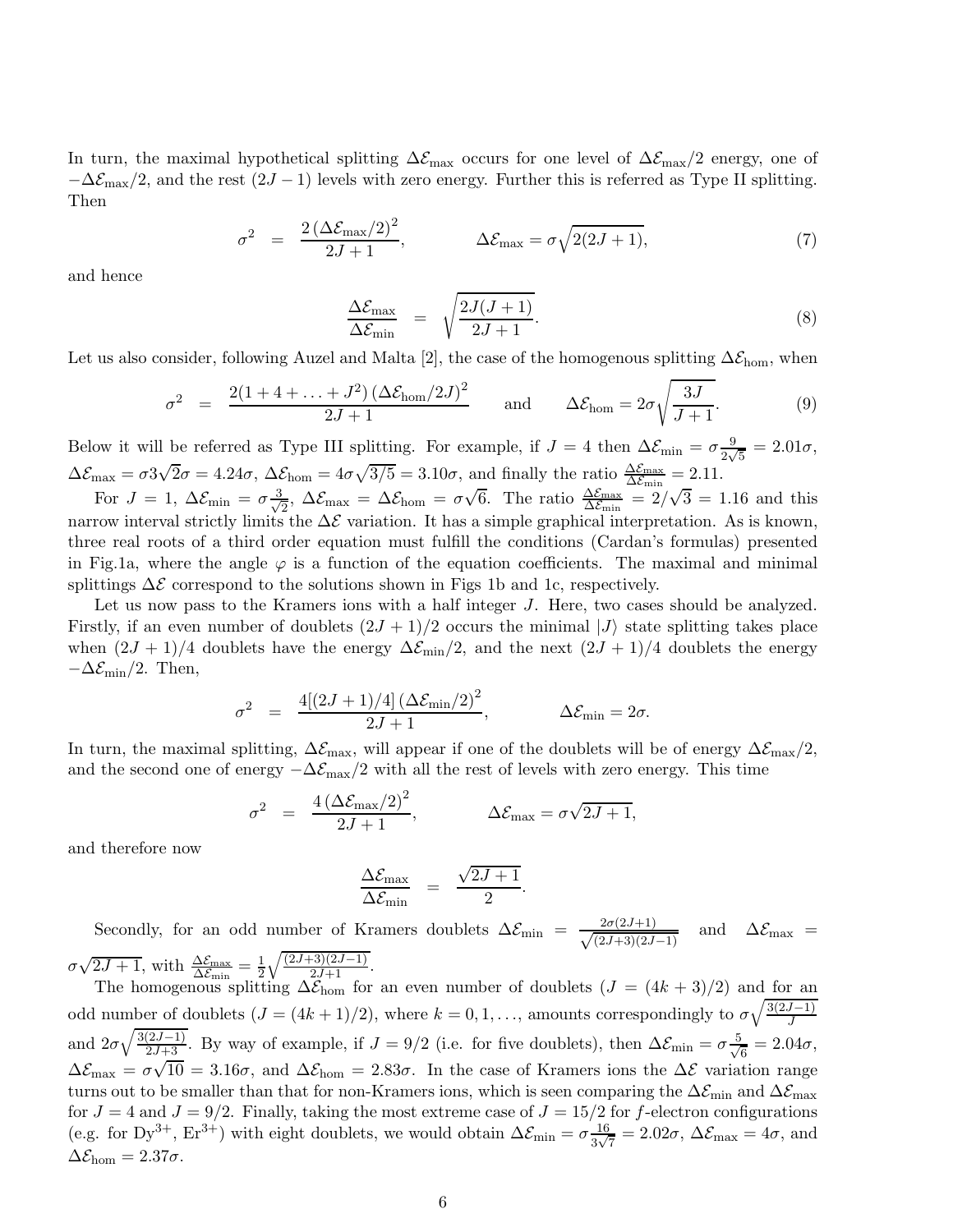In turn, the maximal hypothetical splitting  $\Delta \mathcal{E}_{\text{max}}$  occurs for one level of  $\Delta \mathcal{E}_{\text{max}}/2$  energy, one of  $-\Delta \mathcal{E}_{\text{max}}/2$ , and the rest  $(2J-1)$  levels with zero energy. Further this is referred as Type II splitting. Then

$$
\sigma^2 = \frac{2\left(\Delta \mathcal{E}_{\text{max}}/2\right)^2}{2J+1}, \qquad \Delta \mathcal{E}_{\text{max}} = \sigma \sqrt{2(2J+1)}, \tag{7}
$$

and hence

$$
\frac{\Delta \mathcal{E}_{\text{max}}}{\Delta \mathcal{E}_{\text{min}}} = \sqrt{\frac{2J(J+1)}{2J+1}}.
$$
\n(8)

Let us also consider, following Auzel and Malta [2], the case of the homogenous splitting  $\Delta \mathcal{E}_{\text{hom}}$ , when

$$
\sigma^2 = \frac{2(1+4+\ldots+J^2)(\Delta \mathcal{E}_{\text{hom}}/2J)^2}{2J+1} \quad \text{and} \quad \Delta \mathcal{E}_{\text{hom}} = 2\sigma \sqrt{\frac{3J}{J+1}}.
$$
 (9)

Below it will be referred as Type III splitting. For example, if  $J = 4$  then  $\Delta \mathcal{E}_{min} = \sigma \frac{9}{2\sqrt{5}} = 2.01\sigma$ ,  $2\sqrt{5}$  $\Delta \mathcal{E}_{\text{max}} = \sigma 3\sqrt{2}\sigma = 4.24\sigma, \ \Delta \mathcal{E}_{\text{hom}} = 4\sigma \sqrt{3/5} = 3.10\sigma, \ \text{and finally the ratio } \frac{\Delta \mathcal{E}_{\text{max}}}{\Delta \mathcal{E}_{\text{min}}} = 2.11.$ 

For  $J = 1, \ \Delta \mathcal{E}_{\min} = \sigma \frac{3}{\sqrt{2}}$  $\frac{1}{2}$ ,  $\Delta \mathcal{E}_{\text{max}} = \Delta \mathcal{E}_{\text{hom}} = \sigma \sqrt{6}$ . The ratio  $\frac{\Delta \mathcal{E}_{\text{max}}}{\Delta \mathcal{E}_{\text{min}}} = 2/\sqrt{3} = 1.16$  and this narrow interval strictly limits the  $\Delta \mathcal{E}$  variation. It has a simple graphical interpretation. As is known, three real roots of a third order equation must fulfill the conditions (Cardan's formulas) presented in Fig.1a, where the angle  $\varphi$  is a function of the equation coefficients. The maximal and minimal splittings  $\Delta \mathcal{E}$  correspond to the solutions shown in Figs 1b and 1c, respectively.

Let us now pass to the Kramers ions with a half integer J. Here, two cases should be analyzed. Firstly, if an even number of doublets  $(2J + 1)/2$  occurs the minimal  $|J\rangle$  state splitting takes place when  $(2J + 1)/4$  doublets have the energy  $\Delta \mathcal{E}_{min}/2$ , and the next  $(2J + 1)/4$  doublets the energy  $-\Delta \mathcal{E}_{\text{min}}/2$ . Then,

$$
\sigma^2 = \frac{4[(2J+1)/4](\Delta \mathcal{E}_{\min}/2)^2}{2J+1}, \qquad \Delta \mathcal{E}_{\min} = 2\sigma.
$$

In turn, the maximal splitting,  $\Delta \mathcal{E}_{\text{max}}$ , will appear if one of the doublets will be of energy  $\Delta \mathcal{E}_{\text{max}}/2$ , and the second one of energy  $-\Delta \mathcal{E}_{\text{max}}/2$  with all the rest of levels with zero energy. This time

$$
\sigma^2 = \frac{4\left(\Delta \mathcal{E}_{\text{max}}/2\right)^2}{2J+1}, \qquad \Delta \mathcal{E}_{\text{max}} = \sigma \sqrt{2J+1},
$$

and therefore now

$$
\frac{\Delta \mathcal{E}_{\text{max}}}{\Delta \mathcal{E}_{\text{min}}} = \frac{\sqrt{2J+1}}{2}.
$$

Secondly, for an odd number of Kramers doublets  $\Delta \mathcal{E}_{\text{min}} = \frac{2\sigma(2J+1)}{\sqrt{(2J+3)(2J+3)}}$  $\frac{2\sigma(2J+1)}{(2J+3)(2J-1)}$  and  $\Delta \mathcal{E}_{\text{max}}$  =  $\sigma\sqrt{2J+1}$ , with  $\frac{\Delta\mathcal{E}_{\text{max}}}{\Delta\mathcal{E}_{\text{min}}} = \frac{1}{2}\sqrt{\frac{(2J+3)(2J-1)}{2J+1}}$ .

The homogenous splitting  $\Delta \mathcal{E}_{\text{hom}}$  for an even number of doublets  $(J = (4k+3)/2)$  and for an odd number of doublets  $(J = (4k + 1)/2)$ , where  $k = 0, 1, \ldots$ , amounts correspondingly to  $\sigma \sqrt{\frac{3(2J-1)}{J}}$ and  $2\sigma\sqrt{\frac{3(2J-1)}{2J+3}}$ . By way of example, if  $J=9/2$  (i.e. for five doublets), then  $\Delta\mathcal{E}_{\text{min}}=\sigma\frac{5}{\sqrt{3}}$  $\frac{1}{6} = 2.04\sigma,$  $\Delta \mathcal{E}_{\text{max}} = \sigma \sqrt{10} = 3.16\sigma$ , and  $\Delta \mathcal{E}_{\text{hom}} = 2.83\sigma$ . In the case of Kramers ions the  $\Delta \mathcal{E}$  variation range turns out to be smaller than that for non-Kramers ions, which is seen comparing the  $\Delta\mathcal{E}_{\text{min}}$  and  $\Delta\mathcal{E}_{\text{max}}$ for  $J = 4$  and  $J = 9/2$ . Finally, taking the most extreme case of  $J = 15/2$  for f-electron configurations (e.g. for Dy<sup>3+</sup>, Er<sup>3+</sup>) with eight doublets, we would obtain  $\Delta \mathcal{E}_{\min} = \sigma \frac{16}{3\sqrt{2}}$  $\frac{16}{3\sqrt{7}} = 2.02\sigma$ ,  $\Delta \mathcal{E}_{\text{max}} = 4\sigma$ , and  $\Delta \mathcal{E}_{\text{hom}} = 2.37 \sigma.$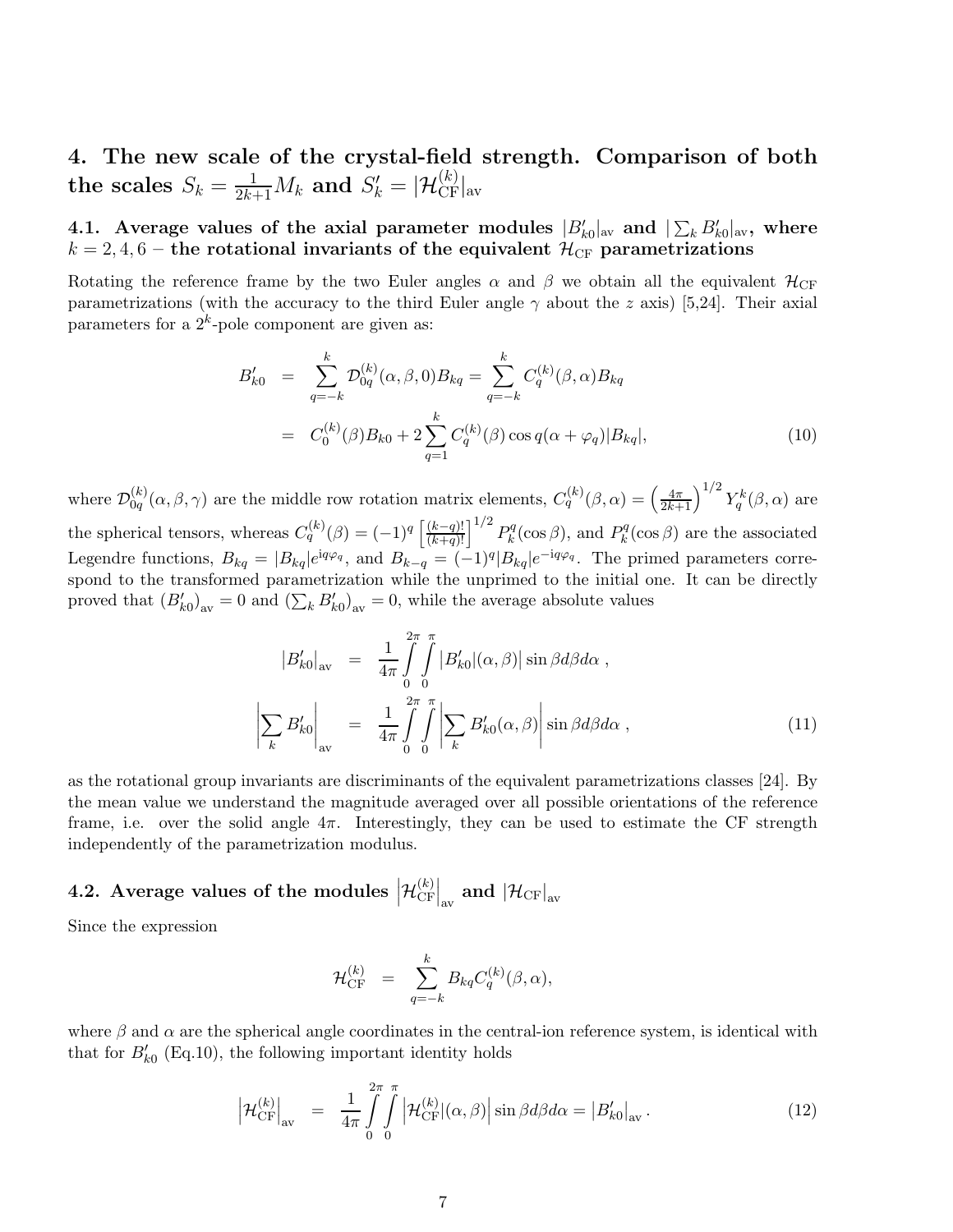4. The new scale of the crystal-field strength. Comparison of both the scales  $S_k = \frac{1}{2k+1}M_k$  and  $S'_k = |\mathcal{H}_{\rm CF}^{(k)}|_{\rm av}$ 

4.1. Average values of the axial parameter modules  $|B'_{k0}|_{\text{av}}$  and  $|\sum_{k} B'_{k0}|_{\text{av}}$ , where  $k = 2, 4, 6$  – the rotational invariants of the equivalent  $\mathcal{H}_{CF}$  parametrizations

Rotating the reference frame by the two Euler angles  $\alpha$  and  $\beta$  we obtain all the equivalent  $\mathcal{H}_{CF}$ parametrizations (with the accuracy to the third Euler angle  $\gamma$  about the z axis) [5,24]. Their axial parameters for a  $2^k$ -pole component are given as:

$$
B'_{k0} = \sum_{q=-k}^{k} \mathcal{D}_{0q}^{(k)}(\alpha, \beta, 0) B_{kq} = \sum_{q=-k}^{k} C_{q}^{(k)}(\beta, \alpha) B_{kq}
$$
  

$$
= C_{0}^{(k)}(\beta) B_{k0} + 2 \sum_{q=1}^{k} C_{q}^{(k)}(\beta) \cos q(\alpha + \varphi_{q}) |B_{kq}|,
$$
 (10)

where  $\mathcal{D}_{0q}^{(k)}$  $\int_{0q}^{(k)}(\alpha,\beta,\gamma)$  are the middle row rotation matrix elements,  $C_q^{(k)}(\beta,\alpha) = \left(\frac{4\pi}{2k+1}\right)^{1/2} Y_q^k(\beta,\alpha)$  are the spherical tensors, whereas  $C_q^{(k)}(\beta) = (-1)^q \left[ \frac{(k-q)!}{(k+q)!} \right]^{1/2} P_k^q$  $k^q(\cos \beta)$ , and  $P_k^q$  $\kappa_k^{qq}(\cos \beta)$  are the associated Legendre functions,  $B_{kq} = |B_{kq}|e^{iq\varphi_q}$ , and  $B_{k-q} = (-1)^q |B_{kq}|e^{-iq\varphi_q}$ . The primed parameters correspond to the transformed parametrization while the unprimed to the initial one. It can be directly proved that  $(B'_{k0})_{av} = 0$  and  $(\sum_k B'_{k0})_{av} = 0$ , while the average absolute values

$$
|B'_{k0}|_{\text{av}} = \frac{1}{4\pi} \int_{0}^{2\pi} \int_{0}^{\pi} |B'_{k0}|(\alpha, \beta)| \sin \beta d\beta d\alpha ,
$$

$$
\left| \sum_{k} B'_{k0} \right|_{\text{av}} = \frac{1}{4\pi} \int_{0}^{2\pi} \int_{0}^{\pi} \left| \sum_{k} B'_{k0}(\alpha, \beta) \right| \sin \beta d\beta d\alpha , \qquad (11)
$$

as the rotational group invariants are discriminants of the equivalent parametrizations classes [24]. By the mean value we understand the magnitude averaged over all possible orientations of the reference frame, i.e. over the solid angle  $4\pi$ . Interestingly, they can be used to estimate the CF strength independently of the parametrization modulus.

#### 4.2. Average values of the modules  $\left|\mathcal{H}_{\text{CF}}^{(k)}\right|$  $\left.\mathcal{C}\text{F}\right|_{\text{av}}$  and  $\left|\mathcal{H}_\text{CF}\right|_{\text{av}}$

Since the expression

$$
\mathcal{H}_{\rm CF}^{(k)} \;\; = \;\; \sum_{q=-k}^k B_{kq} C_q^{(k)}(\beta,\alpha),
$$

where  $\beta$  and  $\alpha$  are the spherical angle coordinates in the central-ion reference system, is identical with that for  $B'_{k0}$  (Eq.10), the following important identity holds

$$
\left| \mathcal{H}_{\text{CF}}^{(k)} \right|_{\text{av}} = \frac{1}{4\pi} \int_{0}^{2\pi} \int_{0}^{\pi} \left| \mathcal{H}_{\text{CF}}^{(k)} |(\alpha, \beta)| \sin \beta d\beta d\alpha = \left| B_{k0}' \right|_{\text{av}} . \tag{12}
$$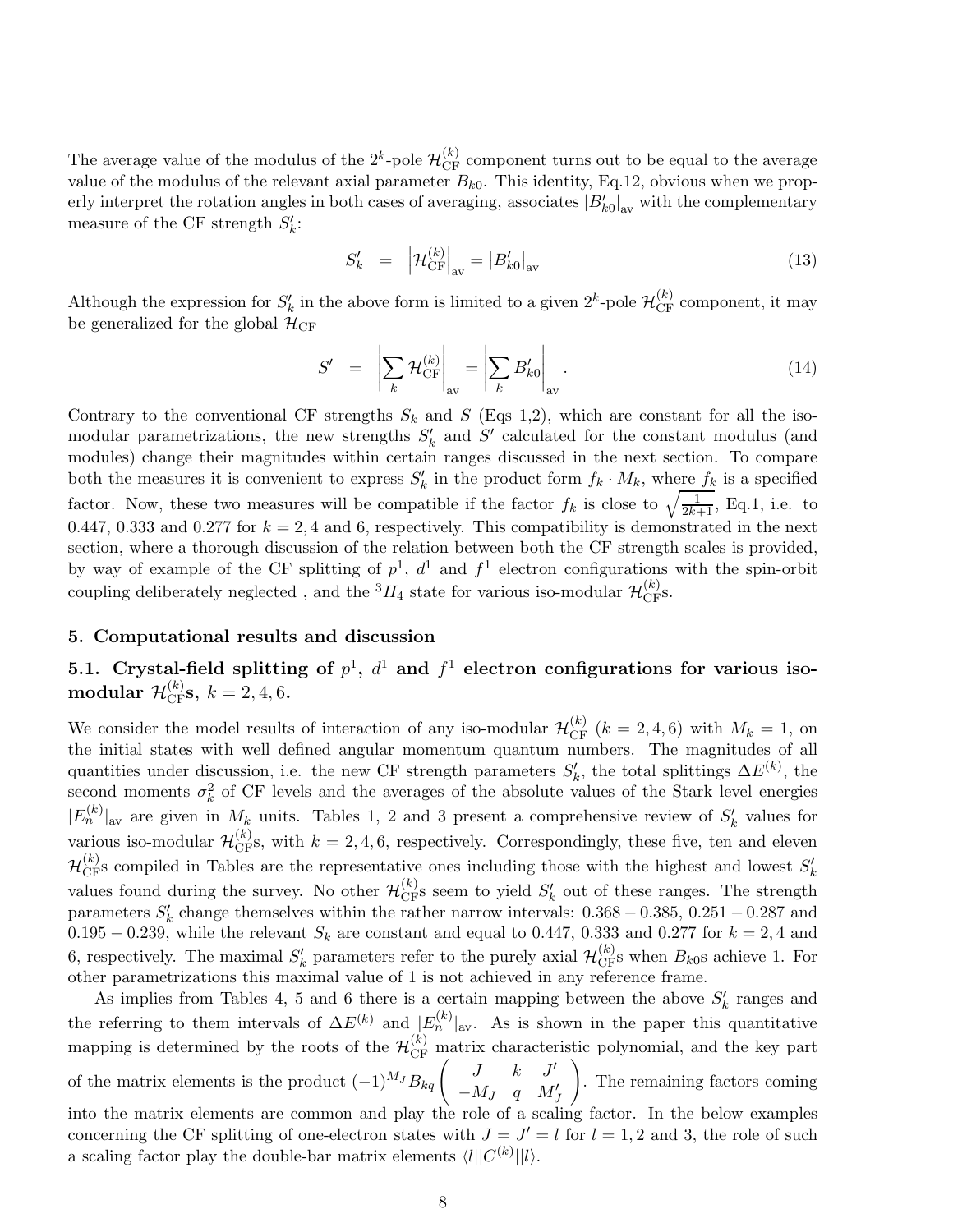The average value of the modulus of the  $2^k$ -pole  $\mathcal{H}_{CF}^{(k)}$  component turns out to be equal to the average value of the modulus of the relevant axial parameter  $B_{k0}$ . This identity, Eq.12, obvious when we properly interpret the rotation angles in both cases of averaging, associates  $|B'_{k0}|_{av}$  with the complementary measure of the CF strength  $S'_k$ :

$$
S'_k = \left| \mathcal{H}_{\mathrm{CF}}^{(k)} \right|_{\mathrm{av}} = \left| B'_{k0} \right|_{\mathrm{av}} \tag{13}
$$

Although the expression for  $S'_k$  in the above form is limited to a given  $2^k$ -pole  $\mathcal{H}_{CF}^{(k)}$  component, it may be generalized for the global  $\mathcal{H}_{CF}$ 

$$
S' = \left| \sum_{k} \mathcal{H}_{\text{CF}}^{(k)} \right|_{\text{av}} = \left| \sum_{k} B'_{k0} \right|_{\text{av}}.
$$
 (14)

Contrary to the conventional CF strengths  $S_k$  and S (Eqs 1,2), which are constant for all the isomodular parametrizations, the new strengths  $S'_{k}$  and  $S'$  calculated for the constant modulus (and modules) change their magnitudes within certain ranges discussed in the next section. To compare both the measures it is convenient to express  $S'_{k}$  in the product form  $f_{k} \cdot M_{k}$ , where  $f_{k}$  is a specified factor. Now, these two measures will be compatible if the factor  $f_k$  is close to  $\sqrt{\frac{1}{2k+1}}$ , Eq.1, i.e. to 0.447, 0.333 and 0.277 for  $k = 2, 4$  and 6, respectively. This compatibility is demonstrated in the next section, where a thorough discussion of the relation between both the CF strength scales is provided, by way of example of the CF splitting of  $p^1$ ,  $d^1$  and  $f^1$  electron configurations with the spin-orbit coupling deliberately neglected , and the  ${}^3H_4$  state for various iso-modular  $\mathcal{H}^{(k)}_{\rm CF}$ s.

#### 5. Computational results and discussion

# 5.1. Crystal-field splitting of  $p^1$ ,  $d^1$  and  $f^1$  electron configurations for various isomodular  $\mathcal{H}^{(k)}_{\text{CF}}$ s,  $k=2,4,6$ .

We consider the model results of interaction of any iso-modular  $\mathcal{H}_{CF}^{(k)}$   $(k = 2, 4, 6)$  with  $M_k = 1$ , on the initial states with well defined angular momentum quantum numbers. The magnitudes of all quantities under discussion, i.e. the new CF strength parameters  $S'_k$ , the total splittings  $\Delta E^{(k)}$ , the second moments  $\sigma_k^2$  of CF levels and the averages of the absolute values of the Stark level energies  $|E_n^{(k)}|$ <sub>av</sub> are given in  $M_k$  units. Tables 1, 2 and 3 present a comprehensive review of  $S'_k$  values for various iso-modular  $\mathcal{H}_{CF}^{(k)}$ , with  $k = 2, 4, 6$ , respectively. Correspondingly, these five, ten and eleven  $\mathcal{H}_{CF}^{(k)}$ s compiled in Tables are the representative ones including those with the highest and lowest  $S'_{k}$ values found during the survey. No other  $\mathcal{H}_{CF}^{(k)}$  seem to yield  $S'_{k}$  out of these ranges. The strength parameters  $S'_{k}$  change themselves within the rather narrow intervals:  $0.368 - 0.385$ ,  $0.251 - 0.287$  and 0.195 – 0.239, while the relevant  $S_k$  are constant and equal to 0.447, 0.333 and 0.277 for  $k = 2, 4$  and 6, respectively. The maximal  $S'_k$  parameters refer to the purely axial  $\mathcal{H}_{\text{CF}}^{(k)}$ s when  $B_{k0}$ s achieve 1. For other parametrizations this maximal value of 1 is not achieved in any reference frame.

As implies from Tables 4, 5 and 6 there is a certain mapping between the above  $S'_{k}$  ranges and the referring to them intervals of  $\Delta E^{(k)}$  and  $|E_n^{(k)}|_{\text{av}}$ . As is shown in the paper this quantitative mapping is determined by the roots of the  $\mathcal{H}_{CF}^{(k)}$  matrix characteristic polynomial, and the key part of the matrix elements is the product  $(-1)^{M_J} B_{kq} \begin{pmatrix} J & k & J' \\ -M_{J} & g & M' \end{pmatrix}$  $-M_J$  q  $M'_J$  $\setminus$ . The remaining factors coming into the matrix elements are common and play the role of a scaling factor. In the below examples concerning the CF splitting of one-electron states with  $J = J' = l$  for  $l = 1, 2$  and 3, the role of such a scaling factor play the double-bar matrix elements  $\langle l||C^{(k)}||l\rangle$ .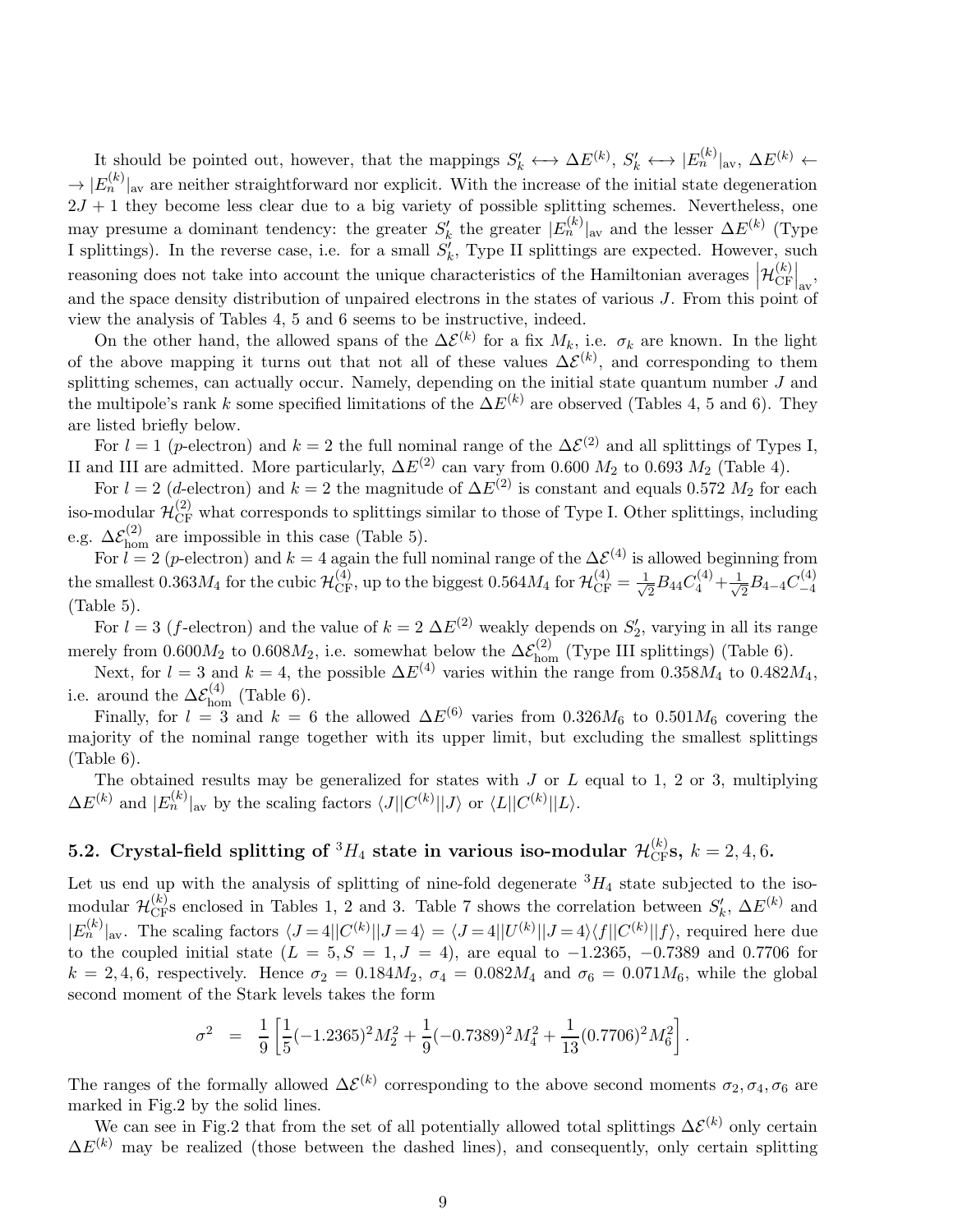It should be pointed out, however, that the mappings  $S'_k \leftrightarrow \Delta E^{(k)}$ ,  $S'_k \leftrightarrow |E^{(k)}_n|_{\text{av}}$ ,  $\Delta E^{(k)}$   $\leftarrow$  $\rightarrow |E_n^{(k)}|_{\rm av}$  are neither straightforward nor explicit. With the increase of the initial state degeneration  $2J + 1$  they become less clear due to a big variety of possible splitting schemes. Nevertheless, one may presume a dominant tendency: the greater  $S'_{k}$  the greater  $|E_{n}^{(k)}|_{\text{av}}$  and the lesser  $\Delta E^{(k)}$  (Type I splittings). In the reverse case, i.e. for a small  $S'_{k}$ , Type II splittings are expected. However, such reasoning does not take into account the unique characteristics of the Hamiltonian averages  $\left| \mathcal{H}_{CF}^{(k)} \right|$  $\left.\frac{E}{E}\right|_{\rm av}$ and the space density distribution of unpaired electrons in the states of various J. From this point of view the analysis of Tables 4, 5 and 6 seems to be instructive, indeed.

On the other hand, the allowed spans of the  $\Delta \mathcal{E}^{(k)}$  for a fix  $M_k$ , i.e.  $\sigma_k$  are known. In the light of the above mapping it turns out that not all of these values  $\Delta \mathcal{E}^{(k)}$ , and corresponding to them splitting schemes, can actually occur. Namely, depending on the initial state quantum number J and the multipole's rank k some specified limitations of the  $\Delta E^{(k)}$  are observed (Tables 4, 5 and 6). They are listed briefly below.

For  $l = 1$  (p-electron) and  $k = 2$  the full nominal range of the  $\Delta \mathcal{E}^{(2)}$  and all splittings of Types I, II and III are admitted. More particularly,  $\Delta E^{(2)}$  can vary from 0.600  $M_2$  to 0.693  $M_2$  (Table 4).

For  $l = 2$  (d-electron) and  $k = 2$  the magnitude of  $\Delta E^{(2)}$  is constant and equals 0.572  $M_2$  for each iso-modular  $\mathcal{H}_{CF}^{(2)}$  what corresponds to splittings similar to those of Type I. Other splittings, including e.g.  $\Delta \mathcal{E}_{\text{hom}}^{(2)}$  are impossible in this case (Table 5).

For  $l = 2$  (p-electron) and  $k = 4$  again the full nominal range of the  $\Delta \mathcal{E}^{(4)}$  is allowed beginning from the smallest 0.363 $M_4$  for the cubic  $\mathcal{H}_{CF}^{(4)}$ , up to the biggest 0.564 $M_4$  for  $\mathcal{H}_{CF}^{(4)} = \frac{1}{\sqrt{2}}$  $\frac{1}{2}B_{44}C_{4}^{(4)}+\frac{1}{\sqrt{2}}$  $\frac{1}{2}B_{4-4}C_{-4}^{(4)}$  $-4$ (Table 5).

For  $l = 3$  (f-electron) and the value of  $k = 2 \Delta E^{(2)}$  weakly depends on  $S'_{2}$ , varying in all its range merely from  $0.600M_2$  to  $0.608M_2$ , i.e. somewhat below the  $\Delta \mathcal{E}_{\text{hom}}^{(2)}$  (Type III splittings) (Table 6).

Next, for  $l = 3$  and  $k = 4$ , the possible  $\Delta E^{(4)}$  varies within the range from 0.358 $M_4$  to 0.482 $M_4$ , i.e. around the  $\Delta \mathcal{E}_{\text{hom}}^{(4)}$  (Table 6).

Finally, for  $l = 3$  and  $k = 6$  the allowed  $\Delta E^{(6)}$  varies from 0.326 $M_6$  to 0.501 $M_6$  covering the majority of the nominal range together with its upper limit, but excluding the smallest splittings (Table 6).

The obtained results may be generalized for states with  $J$  or  $L$  equal to 1, 2 or 3, multiplying  $\Delta E^{(k)}$  and  $|E_n^{(k)}|$ <sub>av</sub> by the scaling factors  $\langle J||C^{(k)}||J\rangle$  or  $\langle L||C^{(k)}||L\rangle$ .

# 5.2. Crystal-field splitting of  ${}^3H_4$  state in various iso-modular  $\mathcal{H}_{\text{CF}}^{(k)}$ s,  $k=2,4,6$ .

Let us end up with the analysis of splitting of nine-fold degenerate  ${}^{3}H_{4}$  state subjected to the isomodular  $\mathcal{H}_{CF}^{(k)}$ s enclosed in Tables 1, 2 and 3. Table 7 shows the correlation between  $S'_k$ ,  $\Delta E^{(k)}$  and  $|E_n^{(k)}|_{\rm av}$ . The scaling factors  $\langle J=4||C^{(k)}||J=4\rangle = \langle J=4||U^{(k)}||J=4\rangle\langle f||C^{(k)}||f\rangle$ , required here due to the coupled initial state  $(L = 5, S = 1, J = 4)$ , are equal to  $-1.2365, -0.7389$  and 0.7706 for  $k = 2, 4, 6$ , respectively. Hence  $\sigma_2 = 0.184 M_2$ ,  $\sigma_4 = 0.082 M_4$  and  $\sigma_6 = 0.071 M_6$ , while the global second moment of the Stark levels takes the form

$$
\sigma^2 = \frac{1}{9} \left[ \frac{1}{5} (-1.2365)^2 M_2^2 + \frac{1}{9} (-0.7389)^2 M_4^2 + \frac{1}{13} (0.7706)^2 M_6^2 \right].
$$

The ranges of the formally allowed  $\Delta \mathcal{E}^{(k)}$  corresponding to the above second moments  $\sigma_2, \sigma_4, \sigma_6$  are marked in Fig.2 by the solid lines.

We can see in Fig.2 that from the set of all potentially allowed total splittings  $\Delta \mathcal{E}^{(k)}$  only certain  $\Delta E^{(k)}$  may be realized (those between the dashed lines), and consequently, only certain splitting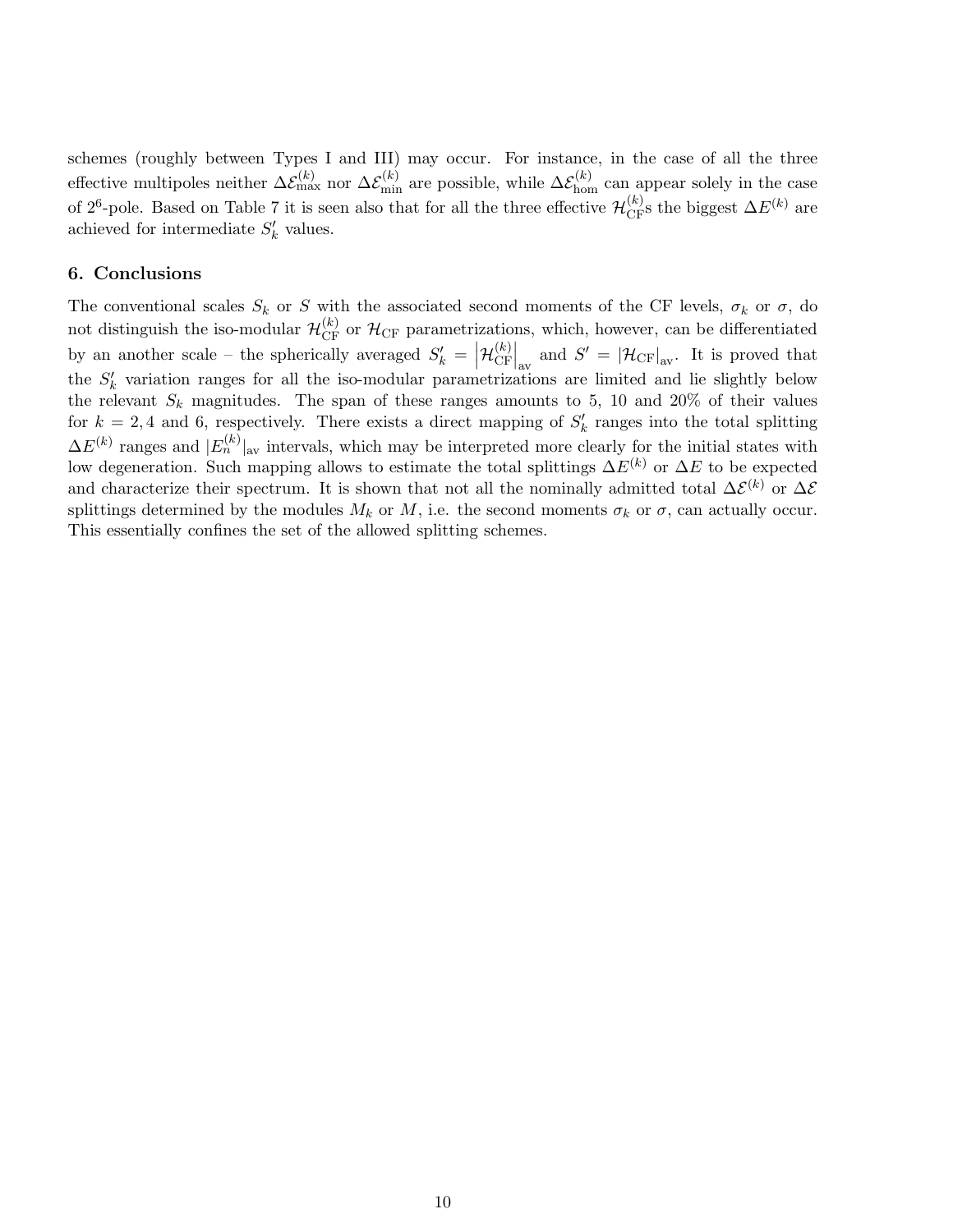schemes (roughly between Types I and III) may occur. For instance, in the case of all the three effective multipoles neither  $\Delta \mathcal{E}_{\text{max}}^{(k)}$  nor  $\Delta \mathcal{E}_{\text{min}}^{(k)}$  are possible, while  $\Delta \mathcal{E}_{\text{hom}}^{(k)}$  can appear solely in the case of 2<sup>6</sup>-pole. Based on Table 7 it is seen also that for all the three effective  $\mathcal{H}_{CF}^{(k)}$  sthe biggest  $\Delta E^{(k)}$  are achieved for intermediate  $S'_{k}$  values.

#### 6. Conclusions

The conventional scales  $S_k$  or S with the associated second moments of the CF levels,  $\sigma_k$  or  $\sigma$ , do not distinguish the iso-modular  $\mathcal{H}_{CF}^{(k)}$  or  $\mathcal{H}_{CF}$  parametrizations, which, however, can be differentiated by an another scale – the spherically averaged  $S'_{k} = \left| \mathcal{H}_{CF}^{(k)} \right|$  $\left.\frac{E_{\text{CF}}}{\text{CF}}\right|_{\text{av}}$  and  $S' = |\mathcal{H}_{\text{CF}}|_{\text{av}}$ . It is proved that the  $S'_{k}$  variation ranges for all the iso-modular parametrizations are limited and lie slightly below the relevant  $S_k$  magnitudes. The span of these ranges amounts to 5, 10 and 20% of their values for  $k = 2, 4$  and 6, respectively. There exists a direct mapping of  $S'_{k}$  ranges into the total splitting  $\Delta E^{(k)}$  ranges and  $|E_n^{(k)}|$ <sub>av</sub> intervals, which may be interpreted more clearly for the initial states with low degeneration. Such mapping allows to estimate the total splittings  $\Delta E^{(k)}$  or  $\Delta E$  to be expected and characterize their spectrum. It is shown that not all the nominally admitted total  $\Delta \mathcal{E}^{(k)}$  or  $\Delta \mathcal{E}$ splittings determined by the modules  $M_k$  or  $M$ , i.e. the second moments  $\sigma_k$  or  $\sigma$ , can actually occur. This essentially confines the set of the allowed splitting schemes.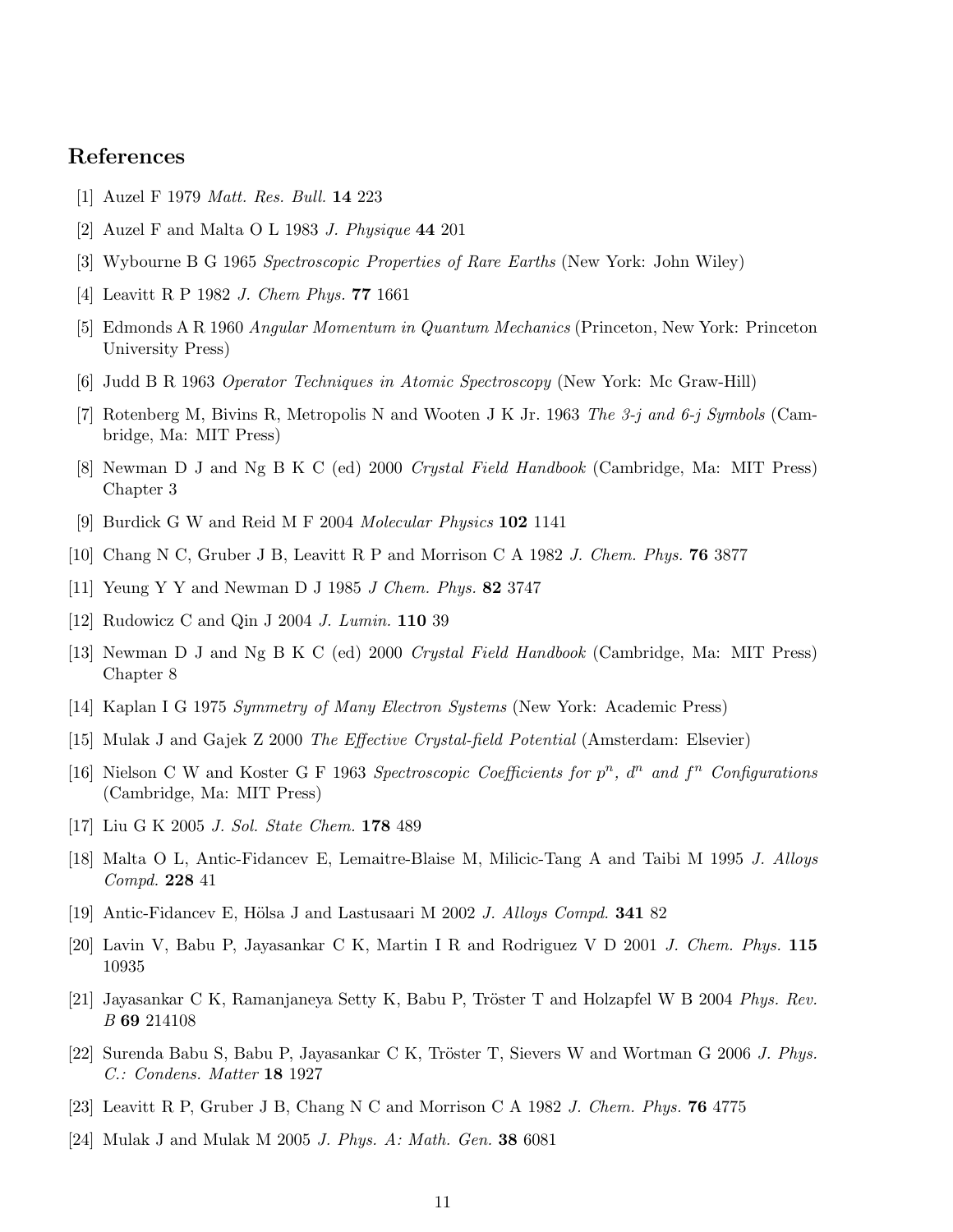## References

- [1] Auzel F 1979 Matt. Res. Bull. 14 223
- [2] Auzel F and Malta O L 1983 J. Physique 44 201
- [3] Wybourne B G 1965 Spectroscopic Properties of Rare Earths (New York: John Wiley)
- [4] Leavitt R P 1982 J. Chem Phys. 77 1661
- [5] Edmonds A R 1960 Angular Momentum in Quantum Mechanics (Princeton, New York: Princeton University Press)
- [6] Judd B R 1963 Operator Techniques in Atomic Spectroscopy (New York: Mc Graw-Hill)
- [7] Rotenberg M, Bivins R, Metropolis N and Wooten J K Jr. 1963 The 3-j and 6-j Symbols (Cambridge, Ma: MIT Press)
- [8] Newman D J and Ng B K C (ed) 2000 Crystal Field Handbook (Cambridge, Ma: MIT Press) Chapter 3
- [9] Burdick G W and Reid M F 2004 Molecular Physics 102 1141
- [10] Chang N C, Gruber J B, Leavitt R P and Morrison C A 1982 J. Chem. Phys. 76 3877
- [11] Yeung Y Y and Newman D J 1985 J Chem. Phys. 82 3747
- [12] Rudowicz C and Qin J 2004 *J. Lumin*. **110** 39
- [13] Newman D J and Ng B K C (ed) 2000 Crystal Field Handbook (Cambridge, Ma: MIT Press) Chapter 8
- [14] Kaplan I G 1975 Symmetry of Many Electron Systems (New York: Academic Press)
- [15] Mulak J and Gajek Z 2000 The Effective Crystal-field Potential (Amsterdam: Elsevier)
- [16] Nielson C W and Koster G F 1963 Spectroscopic Coefficients for  $p^n$ ,  $d^n$  and  $f^n$  Configurations (Cambridge, Ma: MIT Press)
- [17] Liu G K 2005 J. Sol. State Chem. 178 489
- [18] Malta O L, Antic-Fidancev E, Lemaitre-Blaise M, Milicic-Tang A and Taibi M 1995 J. Alloys Compd. 228 41
- [19] Antic-Fidancev E, Hölsa J and Lastusaari M 2002 J. Alloys Compd. **341** 82
- [20] Lavin V, Babu P, Jayasankar C K, Martin I R and Rodriguez V D 2001 J. Chem. Phys. 115 10935
- [21] Jayasankar C K, Ramanjaneya Setty K, Babu P, Tröster T and Holzapfel W B 2004 Phys. Rev. B 69 214108
- [22] Surenda Babu S, Babu P, Jayasankar C K, Tröster T, Sievers W and Wortman G 2006 J. Phys. C.: Condens. Matter 18 1927
- [23] Leavitt R P, Gruber J B, Chang N C and Morrison C A 1982 J. Chem. Phys. 76 4775
- [24] Mulak J and Mulak M 2005 J. Phys. A: Math. Gen. 38 6081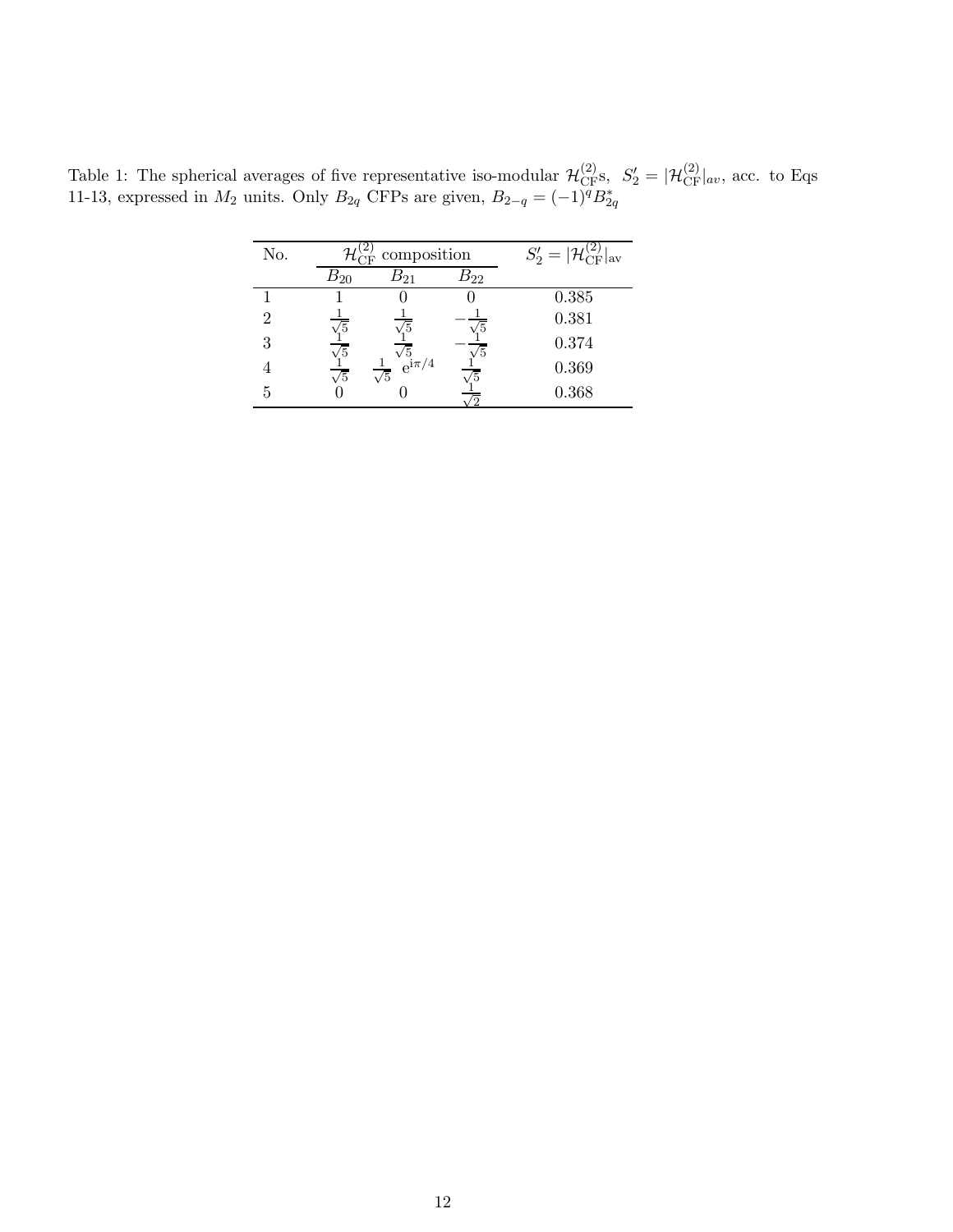Table 1: The spherical averages of five representative iso-modular  $\mathcal{H}^{(2)}_{CF}$ s,  $S'_2 = |\mathcal{H}^{(2)}_{CF}|_{av}$ , acc. to Eqs 11-13, expressed in  $M_2$  units. Only  $B_{2q}$  CFPs are given,  $B_{2-q} = (-1)^q B_{2q}^*$ 

| No. | composition |                                                              |          | $S'_2 =  {\cal H}_{\rm CF}^{(2)} _{\rm av}$ |
|-----|-------------|--------------------------------------------------------------|----------|---------------------------------------------|
|     | $B_{20}$    | $B_{21}$                                                     | $B_{22}$ |                                             |
|     |             |                                                              |          | 0.385                                       |
| 2   | /5          | /5                                                           |          | 0.381                                       |
| 3   | $\sqrt{5}$  |                                                              | /5       | 0.374                                       |
|     | $\sqrt{5}$  | $\frac{\sqrt{5}}{e^{\text{i}\pi/4}}$<br>$\frac{1}{\sqrt{5}}$ | 75       | 0.369                                       |
| 5   |             |                                                              |          | 0.368                                       |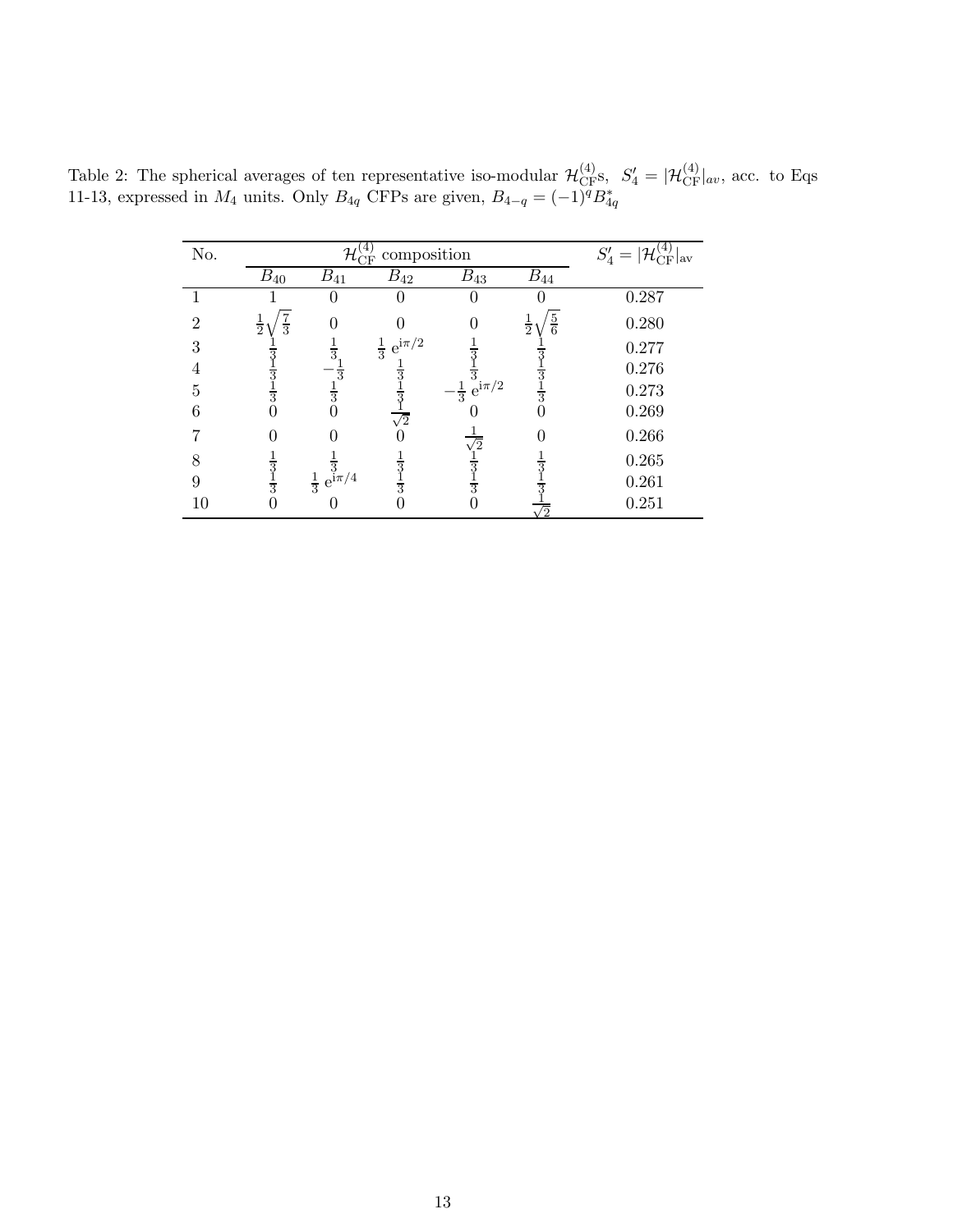Table 2: The spherical averages of ten representative iso-modular  $\mathcal{H}^{(4)}_{CF}$ s,  $S'_4 = |\mathcal{H}^{(4)}_{CF}|_{av}$ , acc. to Eqs 11-13, expressed in  $M_4$  units. Only  $B_{4q}$  CFPs are given,  $B_{4-q} = (-1)^q B_{4q}^*$ 

| No.            |                              | $\mathcal{H}^{\scriptscriptstyle{(\pm)}}_{\scriptscriptstyle{\rm CFT}}$ | composition                |                                    |                                | $S'_4 =  {\cal H}_{\rm CF}^{(4)} _{\rm av}$ |
|----------------|------------------------------|-------------------------------------------------------------------------|----------------------------|------------------------------------|--------------------------------|---------------------------------------------|
|                | $B_{40}$                     | $B_{41}$                                                                | $B_{42}$                   | $B_{43}$                           | $B_{44}$                       |                                             |
|                |                              | 0                                                                       |                            |                                    |                                | 0.287                                       |
| $\mathfrak{D}$ | $rac{7}{3}$<br>$\frac{1}{2}$ |                                                                         |                            |                                    | $\frac{5}{6}$<br>$\frac{1}{2}$ | 0.280                                       |
| 3              |                              | $\frac{1}{3}$                                                           | $\frac{1}{3}$ $e^{i\pi/2}$ | 3                                  |                                | 0.277                                       |
| 4              | $\overline{3}$               |                                                                         |                            |                                    |                                | 0.276                                       |
| 5              | $\frac{1}{3}$                | $\frac{1}{3}$                                                           |                            | $-\frac{1}{3}\frac{1}{e^{i\pi/2}}$ | $\frac{1}{3}$                  | 0.273                                       |
| 6              |                              |                                                                         | $\frac{1}{\sqrt{2}}$       |                                    | 0                              | 0.269                                       |
|                |                              |                                                                         |                            |                                    | 0                              | 0.266                                       |
| 8              | $\overline{3}$               |                                                                         |                            | $\sqrt{2}$                         |                                | 0.265                                       |
| 9              | $\frac{1}{3}$                | $\frac{1}{3} e^{i\pi/4}$                                                | $\frac{1}{3}$              | $rac{1}{3}$                        |                                | 0.261                                       |
| 10             | 0                            |                                                                         |                            |                                    | $\sqrt{2}$                     | 0.251                                       |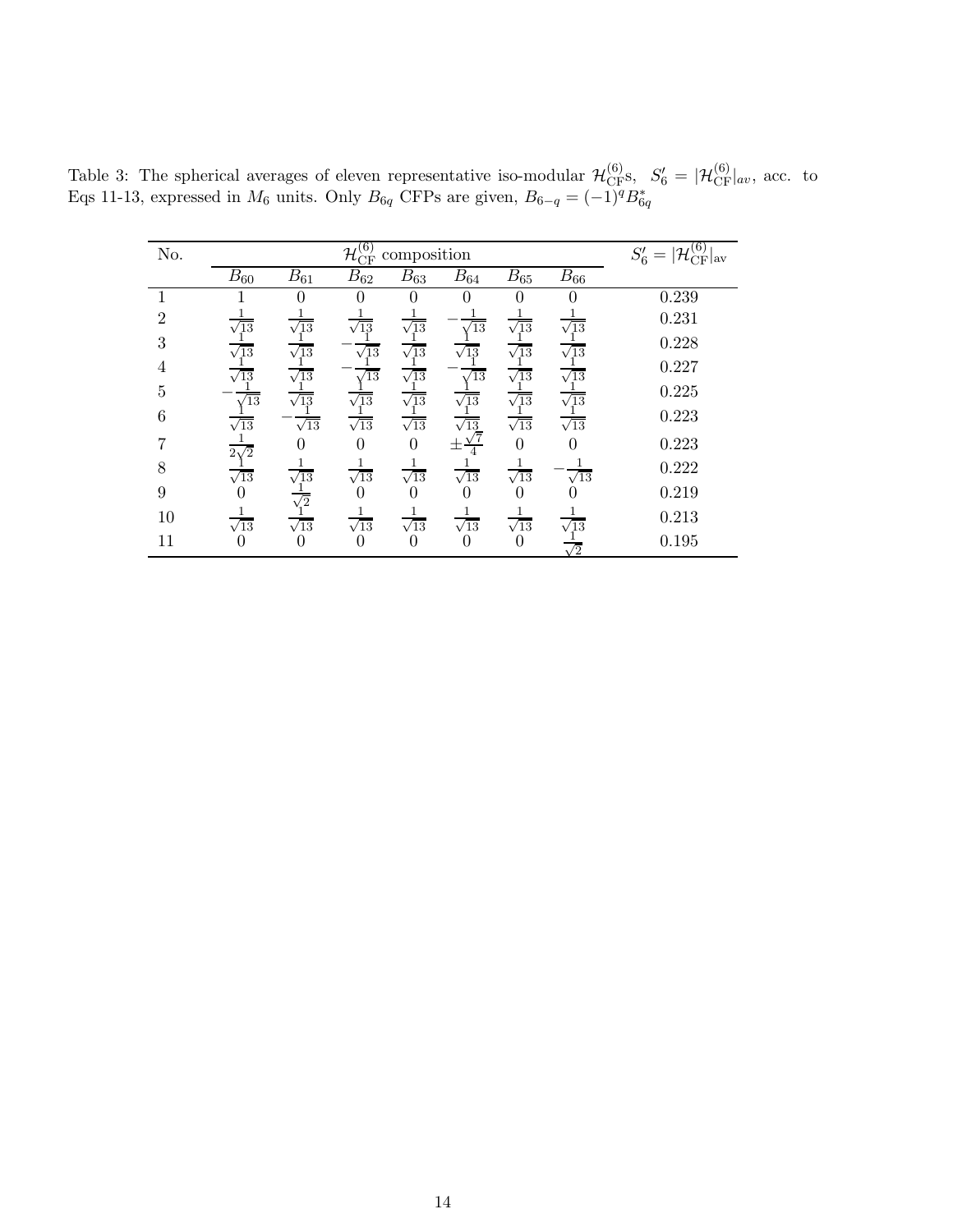| No.                         | $\left( \overline{6}\right)$<br>$\mathcal{H}^{(0)}_{\mathrm{CF}}$<br>composition |                 |             |                  |                       | $S_6' =  {\cal H}_{CF}^{(6)} _{\rm av}$ |             |       |
|-----------------------------|----------------------------------------------------------------------------------|-----------------|-------------|------------------|-----------------------|-----------------------------------------|-------------|-------|
|                             | $B_{60}$                                                                         | $B_{61}$        | $B_{62}$    | $B_{63}$         | $B_{64}$              | $B_{65}$                                | $B_{66}$    |       |
|                             |                                                                                  | 0               | $\theta$    | $\left( \right)$ |                       | $\theta$                                |             | 0.239 |
| $\mathcal{D}_{\mathcal{L}}$ | $\sqrt{13}$                                                                      | $\sqrt{13}$     | $\sqrt{13}$ | $\sqrt{13}$      | $\overline{13}$       | $\sqrt{13}$                             | $\sqrt{13}$ | 0.231 |
| 3                           | $\sqrt{13}$                                                                      | $\overline{13}$ | $\sqrt{13}$ | $\sqrt{13}$      | $\sqrt{13}$           | $\overline{13}$                         | $\sqrt{13}$ | 0.228 |
| 4                           | $\sqrt{13}$                                                                      | $\sqrt{13}$     | $\sqrt{13}$ | $\sqrt{13}$      | $\overline{13}$       | $\sqrt{13}$                             | $\sqrt{13}$ | 0.227 |
| $\overline{5}$              | $\sqrt{13}$                                                                      | $\sqrt{13}$     | $\sqrt{13}$ | $\sqrt{13}$      | $\sqrt{13}$           | $\sqrt{13}$                             | $\sqrt{13}$ | 0.225 |
| 6                           | $\sqrt{13}$                                                                      | $\sqrt{13}$     | $\sqrt{13}$ | $\sqrt{13}$      | $\sqrt{13}$           | $\sqrt{13}$                             | $\sqrt{13}$ | 0.223 |
|                             | $2\sqrt{2}$                                                                      |                 | 0           | $\theta$         |                       | 0                                       |             | 0.223 |
| 8                           | $\sqrt{13}$                                                                      | $\sqrt{13}$     | $\sqrt{13}$ | $\sqrt{13}$      | $\frac{1}{\sqrt{13}}$ | $\sqrt{13}$                             | $\sqrt{13}$ | 0.222 |
| 9                           |                                                                                  | $\sqrt{2}$      | U           | U                |                       |                                         |             | 0.219 |
| 10                          | $\frac{1}{\sqrt{13}}$                                                            | $\sqrt{13}$     | $\sqrt{13}$ | $\sqrt{13}$      | $\sqrt{13}$           | $\sqrt{13}$                             | $\sqrt{13}$ | 0.213 |
| 11                          |                                                                                  |                 | $\theta$    |                  | $\left( \right)$      |                                         | $\sqrt{2}$  | 0.195 |

Table 3: The spherical averages of eleven representative iso-modular  $\mathcal{H}_{CF}^{(6)}$ s,  $S'_6 = |\mathcal{H}_{CF}^{(6)}|_{av}$ , acc. to Eqs 11-13, expressed in  $M_6$  units. Only  $B_{6q}$  CFPs are given,  $B_{6-q} = (-1)^q B_{6q}^*$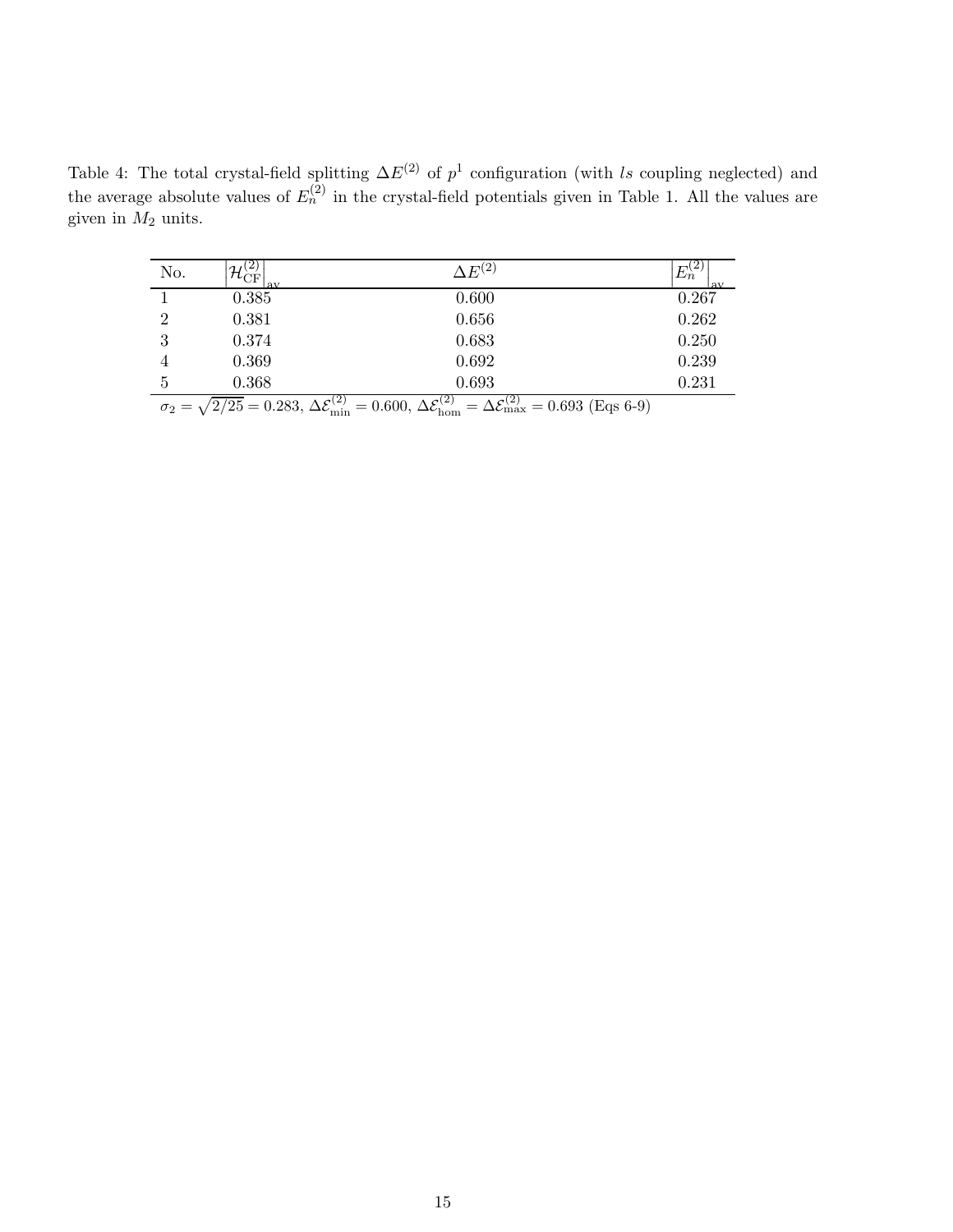Table 4: The total crystal-field splitting  $\Delta E^{(2)}$  of  $p^1$  configuration (with ls coupling neglected) and the average absolute values of  $E_n^{(2)}$  in the crystal-field potentials given in Table 1. All the values are given in  $M_2$  units.

| No.            | $^{2}$<br>$\mathcal{H}^{\scriptscriptstyle{(\mathbb{Z})}}_{\rm CF}$<br>lav | $\Delta E^{(2)}$                                    | ∠<br>$E_n^{(2)}$<br>av |
|----------------|----------------------------------------------------------------------------|-----------------------------------------------------|------------------------|
|                | 0.385                                                                      | 0.600                                               | 0.267                  |
| $\overline{2}$ | 0.381                                                                      | 0.656                                               | 0.262                  |
| 3              | 0.374                                                                      | 0.683                                               | 0.250                  |
| 4              | 0.369                                                                      | 0.692                                               | 0.239                  |
| 5              | 0.368                                                                      | 0.693                                               | 0.231                  |
|                | $\Lambda$ $c^{(2)}$<br>$\sqrt{2.5r}$<br>റ ററെ                              | $\Lambda$ $c^{(2)}$<br>$\Lambda$ $c^{(2)}$<br>0.000 | $(0.609)(E - 6.0)$     |

 $\sigma_2 = \sqrt{2/25} = 0.283, \Delta \mathcal{E}_{\text{min}}^{(2)} = 0.600, \Delta \mathcal{E}_{\text{hom}}^{(2)} = \Delta \mathcal{E}_{\text{max}}^{(2)} = 0.693 \text{ (Eqs 6-9)}$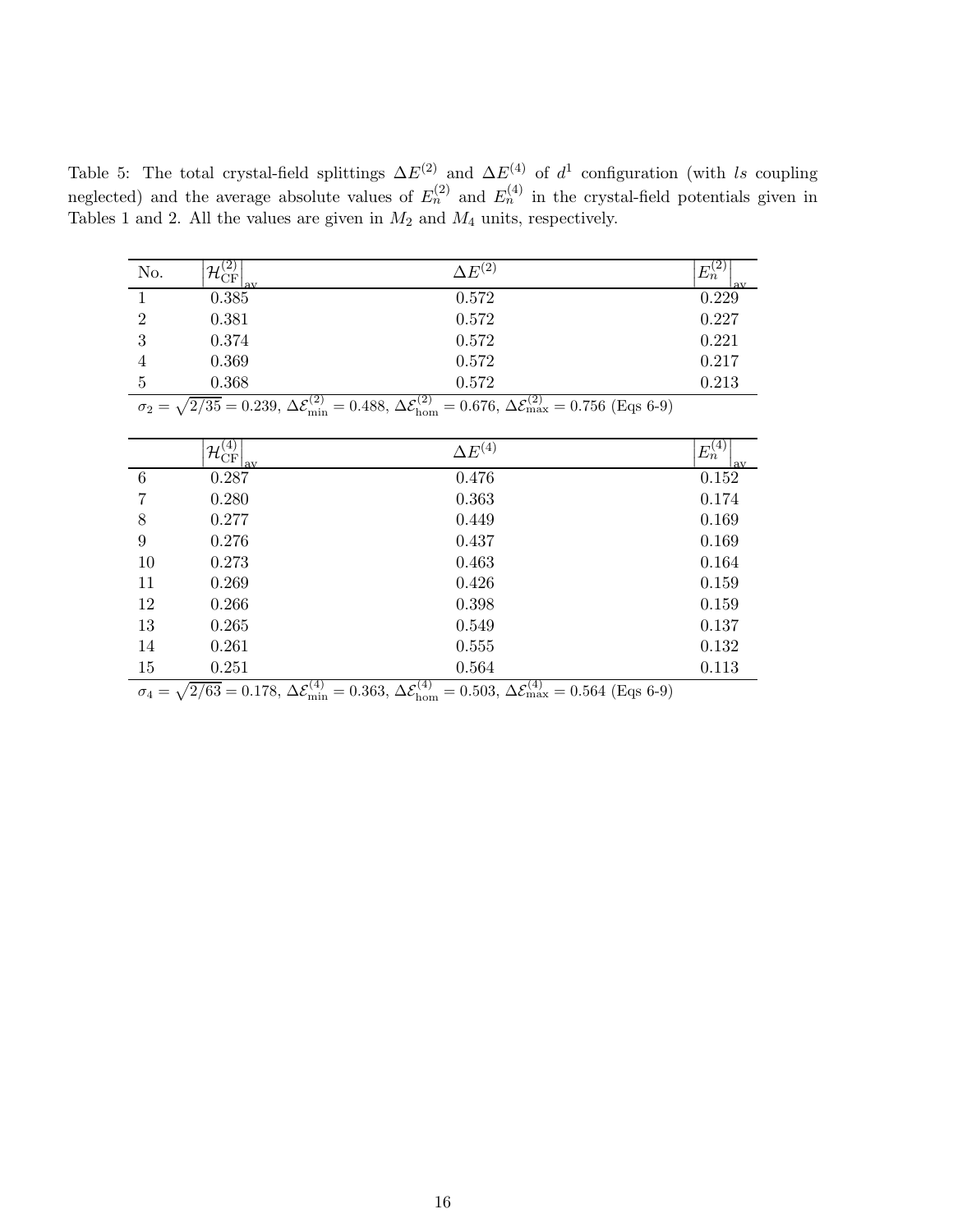Table 5: The total crystal-field splittings  $\Delta E^{(2)}$  and  $\Delta E^{(4)}$  of  $d^1$  configuration (with ls coupling neglected) and the average absolute values of  $E_n^{(2)}$  and  $E_n^{(4)}$  in the crystal-field potentials given in Tables 1 and 2. All the values are given in  $M_2$  and  $M_4$  units, respectively.

| No.            | $\mathcal{H}^{\scriptscriptstyle{(\mathbf{Z})}}_{\mathrm{CF}}$<br>lav | $\Delta E^{(2)}$        | (∠<br>$E_n^{(2)}$<br>lav |
|----------------|-----------------------------------------------------------------------|-------------------------|--------------------------|
|                | 0.385                                                                 | 0.572                   | 0.229                    |
| $\overline{2}$ | 0.381                                                                 | 0.572                   | 0.227                    |
| 3              | 0.374                                                                 | 0.572                   | 0.221                    |
| 4              | 0.369                                                                 | 0.572                   | 0.217                    |
| 5              | 0.368<br>(2)                                                          | 0.572<br>$  (2)$<br>(2) | 0.213                    |

 $\sigma_2 = \sqrt{2/35} = 0.239, \, \Delta \mathcal{E}_{\text{min}}^{(2)} = 0.488, \, \Delta \mathcal{E}_{\text{hom}}^{(2)} = 0.676, \, \Delta \mathcal{E}_{\text{max}}^{(2)} = 0.756 \text{ (Eqs 6-9)}$ 

|    | $\mathcal{H}_{\rm CF}^{(4)}$<br>lav | $\Delta E^{(4)}$  | $E_n^{(4)}$<br>l av |
|----|-------------------------------------|-------------------|---------------------|
| 6  | 0.287                               | 0.476             | 0.152               |
| 7  | 0.280                               | 0.363             | 0.174               |
| 8  | 0.277                               | 0.449             | 0.169               |
| 9  | 0.276                               | 0.437             | 0.169               |
| 10 | 0.273                               | 0.463             | 0.164               |
| 11 | 0.269                               | 0.426             | 0.159               |
| 12 | 0.266                               | 0.398             | 0.159               |
| 13 | 0.265                               | 0.549             | 0.137               |
| 14 | 0.261                               | 0.555             | 0.132               |
| 15 | 0.251                               | 0.564             | 0.113               |
|    | $\overline{\phantom{a}}$            | (1)<br>(1)<br>(1) |                     |

 $\sigma_4 = \sqrt{2/63} = 0.178$ ,  $\Delta \mathcal{E}_{\text{min}}^{(4)} = 0.363$ ,  $\Delta \mathcal{E}_{\text{hom}}^{(4)} = 0.503$ ,  $\Delta \mathcal{E}_{\text{max}}^{(4)} = 0.564$  (Eqs 6-9)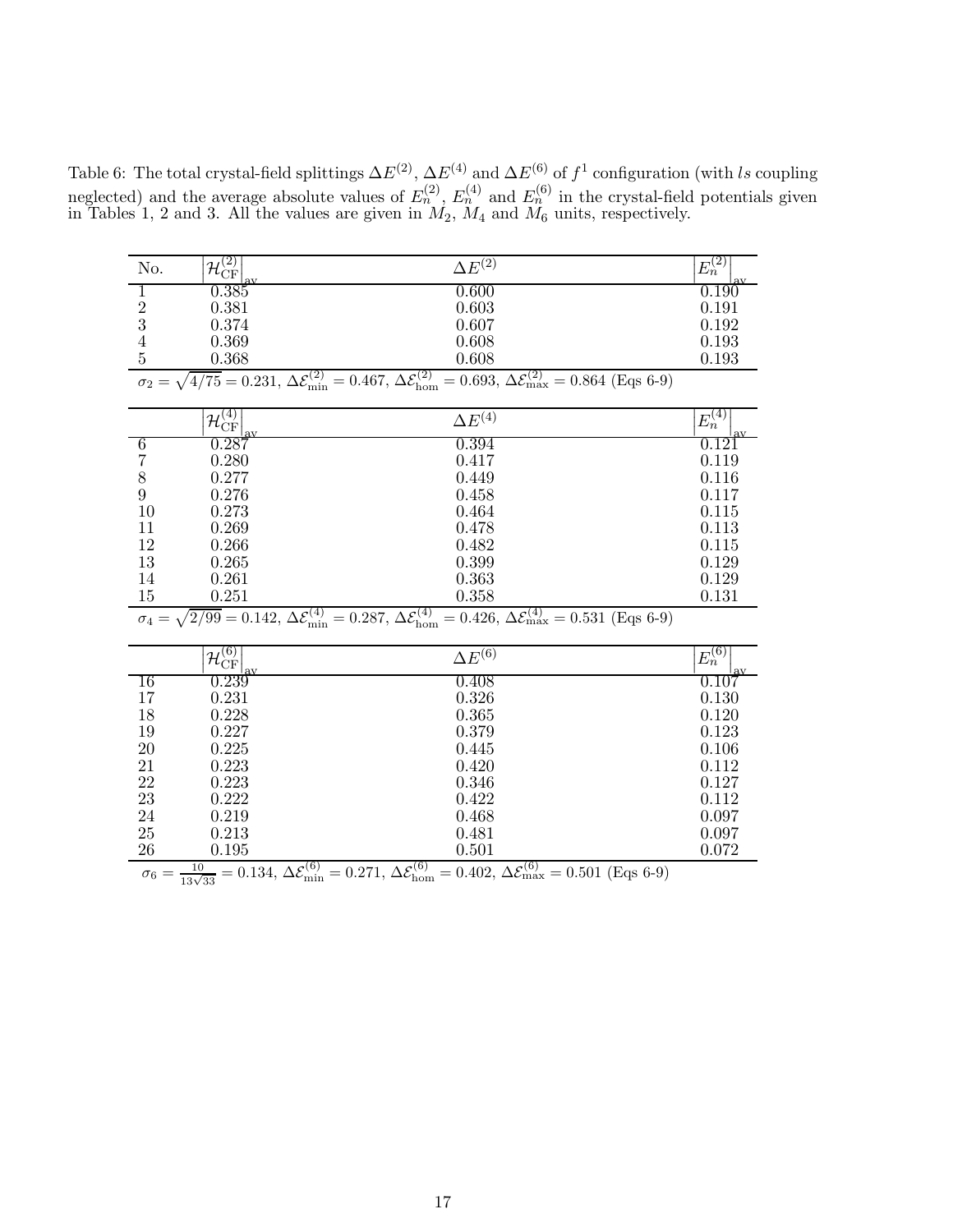Table 6: The total crystal-field splittings  $\Delta E^{(2)}$ ,  $\Delta E^{(4)}$  and  $\Delta E^{(6)}$  of  $f^1$  configuration (with ls coupling neglected) and the average absolute values of  $E_n^{(2)}$ ,  $E_n^{(4)}$  and  $E_n^{(6)}$  in the crystal-field potentials given in Tables 1, 2 and 3. All the values are given in  $M_2$ ,  $M_4$  and  $M_6$  units, respectively.

| No.            | $\mathcal{H}_{\rm CF}^{(2)}$ | $\Delta E^{(2)}$                                                                                                                                                                                            | $E_n^{(2)}$ |
|----------------|------------------------------|-------------------------------------------------------------------------------------------------------------------------------------------------------------------------------------------------------------|-------------|
| 1              | $\,0.385\,$                  | 0.600                                                                                                                                                                                                       | 0.190       |
|                | 0.381                        | 0.603                                                                                                                                                                                                       | 0.191       |
| $\frac{2}{3}$  | 0.374                        | 0.607                                                                                                                                                                                                       | 0.192       |
|                | 0.369                        | 0.608                                                                                                                                                                                                       | 0.193       |
| $\frac{4}{5}$  | 0.368                        | 0.608                                                                                                                                                                                                       | 0.193       |
|                |                              | $\sigma_2 = \sqrt{4/75} = 0.231, \Delta \mathcal{E}_{\text{min}}^{(2)} = 0.467, \Delta \mathcal{E}_{\text{hom}}^{(2)} = 0.693, \Delta \mathcal{E}_{\text{max}}^{(2)} = 0.864$ (Eqs 6-9)                     |             |
|                |                              |                                                                                                                                                                                                             |             |
|                | $\mathcal{H}_{\rm CF}^{(4)}$ | $\Delta E^{(4)}$                                                                                                                                                                                            | $E_n^{(4)}$ |
| 6              | 0.287                        | 0.394                                                                                                                                                                                                       | 0.121       |
| $\overline{7}$ | 0.280                        | 0.417                                                                                                                                                                                                       | 0.119       |
| 8              | 0.277                        | 0.449                                                                                                                                                                                                       | 0.116       |
| $\overline{9}$ | 0.276                        | 0.458                                                                                                                                                                                                       | 0.117       |
| 10             | 0.273                        | 0.464                                                                                                                                                                                                       | 0.115       |
| 11             | 0.269                        | 0.478                                                                                                                                                                                                       | 0.113       |
| 12             | 0.266                        | 0.482                                                                                                                                                                                                       | 0.115       |
| 13             | 0.265                        | 0.399                                                                                                                                                                                                       | 0.129       |
| 14             | 0.261                        | 0.363                                                                                                                                                                                                       | 0.129       |
| 15             | 0.251                        | 0.358                                                                                                                                                                                                       | 0.131       |
|                |                              | $\sigma_4 = \sqrt{2/99} = 0.142$ , $\Delta \mathcal{E}_{\text{min}}^{(4)} = 0.287$ , $\Delta \mathcal{E}_{\text{hom}}^{(4)} = 0.426$ , $\Delta \mathcal{E}_{\text{max}}^{(4)} = 0.531$ (Eqs 6-9)            |             |
|                |                              |                                                                                                                                                                                                             |             |
|                | $\mathcal{H}_{\rm CF}^{(6)}$ | $\Delta E^{(6)}$                                                                                                                                                                                            | $E_n^{(6)}$ |
| 16             | 0.239                        | 0.408                                                                                                                                                                                                       | 0.107       |
| 17             | 0.231                        | 0.326                                                                                                                                                                                                       | 0.130       |
| 18             | 0.228                        | 0.365                                                                                                                                                                                                       | 0.120       |
| 19             | 0.227                        | 0.379                                                                                                                                                                                                       | 0.123       |
| 20             | 0.225                        | 0.445                                                                                                                                                                                                       | 0.106       |
| 21             | 0.223                        | 0.420                                                                                                                                                                                                       | 0.112       |
| 22             | 0.223                        | 0.346                                                                                                                                                                                                       | 0.127       |
| 23             | 0.222                        | 0.422                                                                                                                                                                                                       | 0.112       |
| $24\,$         | 0.219                        | 0.468                                                                                                                                                                                                       | 0.097       |
| 25             | 0.213                        | 0.481                                                                                                                                                                                                       | 0.097       |
| 26             | 0.195                        | 0.501                                                                                                                                                                                                       | 0.072       |
|                |                              | $\sigma_6 = \frac{10}{13\sqrt{33}} = 0.134$ , $\Delta \mathcal{E}_{\text{min}}^{(6)} = 0.271$ , $\Delta \mathcal{E}_{\text{hom}}^{(6)} = 0.402$ , $\Delta \mathcal{E}_{\text{max}}^{(6)} = 0.501$ (Eqs 6-9) |             |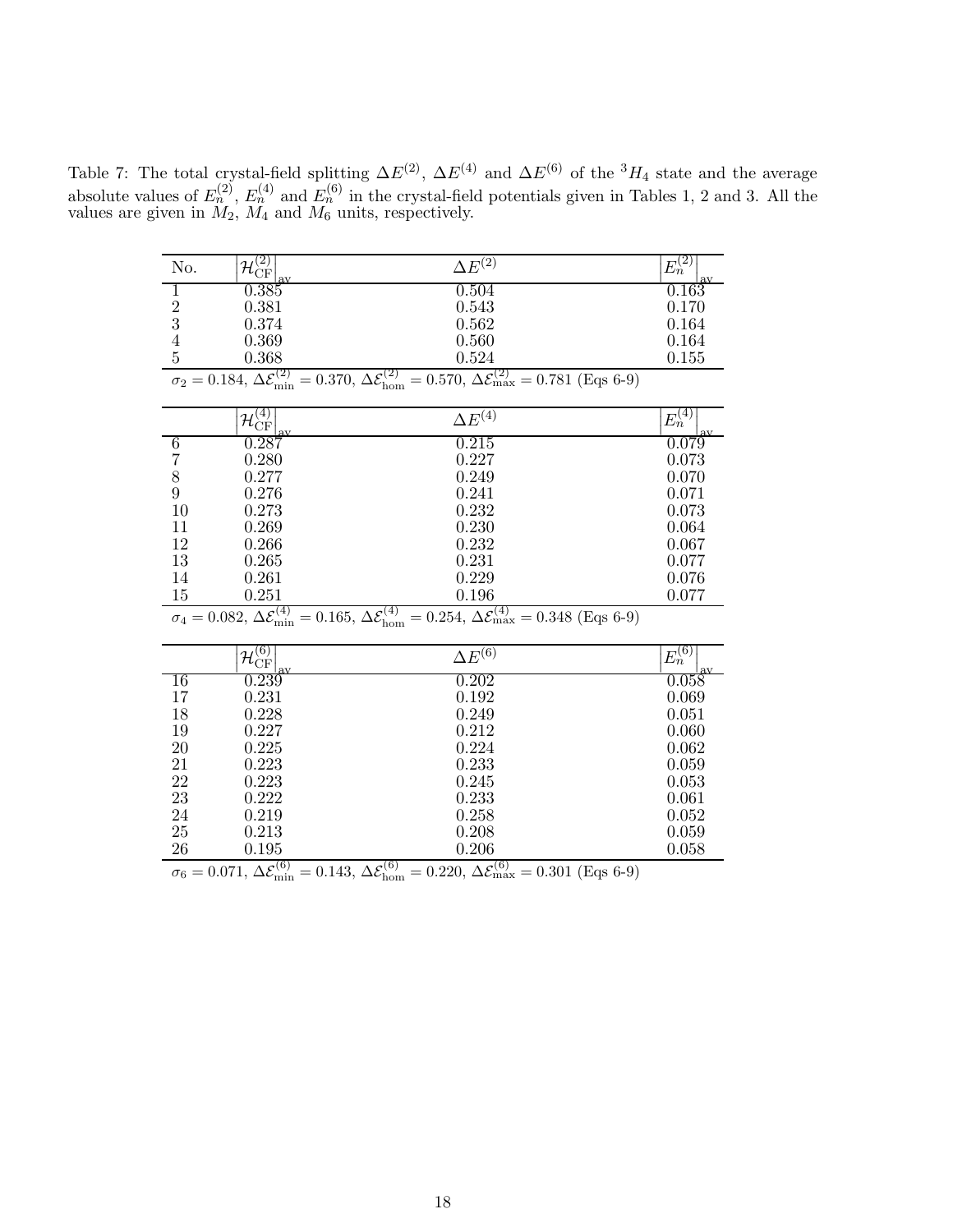Table 7: The total crystal-field splitting  $\Delta E^{(2)}$ ,  $\Delta E^{(4)}$  and  $\Delta E^{(6)}$  of the <sup>3</sup>H<sub>4</sub> state and the average absolute values of  $E_n^{(2)}$ ,  $E_n^{(4)}$  and  $E_n^{(6)}$  in the crystal-field potentials given in Tables 1, 2 and 3. All the values are given in  $M_2$ ,  $M_4$  and  $M_6$  units, respectively.

| No.              | $\mathcal{H}_{\rm CF}^{(2)}$                              | $\Delta E^{(2)}$                                                                                                                                                                  | $E_n^{(2)}$ |
|------------------|-----------------------------------------------------------|-----------------------------------------------------------------------------------------------------------------------------------------------------------------------------------|-------------|
| 1                | 0.385                                                     | 0.504                                                                                                                                                                             | 0.163       |
|                  | 0.381                                                     | 0.543                                                                                                                                                                             | 0.170       |
| $\frac{2}{3}$    | 0.374                                                     | 0.562                                                                                                                                                                             | 0.164       |
| $\overline{4}$   | 0.369                                                     | 0.560                                                                                                                                                                             | 0.164       |
| $\overline{5}$   | 0.368                                                     | 0.524                                                                                                                                                                             | 0.155       |
|                  | $\sigma_2 = 0.184, \Delta \mathcal{E}_{\text{min}}^{(2)}$ | $= 0.370, \Delta \mathcal{E}_{\text{hom}}^{(2)} = 0.570, \Delta \mathcal{E}_{\text{max}}^{(2)} = 0.781 \text{ (Eqs 6-9)}$                                                         |             |
|                  | $\mathcal{H}_{\rm CF}^{(4)}$                              | $\Delta E^{(4)}$                                                                                                                                                                  | $E_n^{(4)}$ |
|                  |                                                           |                                                                                                                                                                                   |             |
| 6                | 0.287                                                     | 0.215                                                                                                                                                                             | 0.079       |
| $\overline{7}$   | 0.280                                                     | 0.227                                                                                                                                                                             | 0.073       |
| $8\,$            | 0.277                                                     | 0.249                                                                                                                                                                             | 0.070       |
| $\boldsymbol{9}$ | 0.276                                                     | 0.241                                                                                                                                                                             | 0.071       |
| 10               | 0.273                                                     | 0.232                                                                                                                                                                             | 0.073       |
| 11               | 0.269                                                     | 0.230                                                                                                                                                                             | 0.064       |
| 12               | 0.266                                                     | 0.232                                                                                                                                                                             | 0.067       |
| 13               | 0.265                                                     | 0.231                                                                                                                                                                             | 0.077       |
| 14               | 0.261                                                     | 0.229                                                                                                                                                                             | 0.076       |
| 15               | 0.251                                                     | 0.196                                                                                                                                                                             | 0.077       |
|                  |                                                           | $\sigma_4 = 0.082, \Delta \mathcal{E}_{\text{min}}^{(4)} = 0.165, \Delta \mathcal{E}_{\text{hom}}^{(4)} = 0.254, \Delta \mathcal{E}_{\text{max}}^{(4)} = 0.348 \text{ (Eqs 6-9)}$ |             |
|                  | $\mathcal{H}_{\rm CF}^{(6)}$                              | $\Delta E^{(6)}$                                                                                                                                                                  | $E_n^{(6)}$ |
|                  |                                                           |                                                                                                                                                                                   |             |
| 16               | 0.239                                                     | 0.202                                                                                                                                                                             | 0.058       |
| 17               | 0.231                                                     | 0.192                                                                                                                                                                             | 0.069       |
| 18               | 0.228                                                     | 0.249                                                                                                                                                                             | 0.051       |
| 19               | 0.227                                                     | 0.212                                                                                                                                                                             | 0.060       |
| 20               | 0.225                                                     | 0.224                                                                                                                                                                             | 0.062       |
| 21               | 0.223                                                     | 0.233                                                                                                                                                                             | 0.059       |
| 22               | 0.223                                                     | 0.245                                                                                                                                                                             | 0.053       |
| 23               | 0.222                                                     | 0.233                                                                                                                                                                             | 0.061       |
| 24               | 0.219                                                     | 0.258                                                                                                                                                                             | 0.052       |
| 25               | 0.213                                                     | 0.208                                                                                                                                                                             | 0.059       |
| 26               | 0.195                                                     | 0.206                                                                                                                                                                             | 0.058       |
|                  | $\Lambda$ $c^{(6)}$<br>0.071                              | $\Lambda$ $c^{(6)}$<br>$0.990 \Lambda c^{(6)}$<br>0.149<br>$0.201$ $(\Gamma_{\alpha\alpha}$ $\beta$ $\Omega)$                                                                     |             |

 $\sigma_6 = 0.071, \Delta \mathcal{E}_{\text{min}}^{(6)} = 0.143, \Delta \mathcal{E}_{\text{hom}}^{(6)} = 0.220, \Delta \mathcal{E}_{\text{max}}^{(6)} = 0.301 \text{ (Eqs 6-9)}$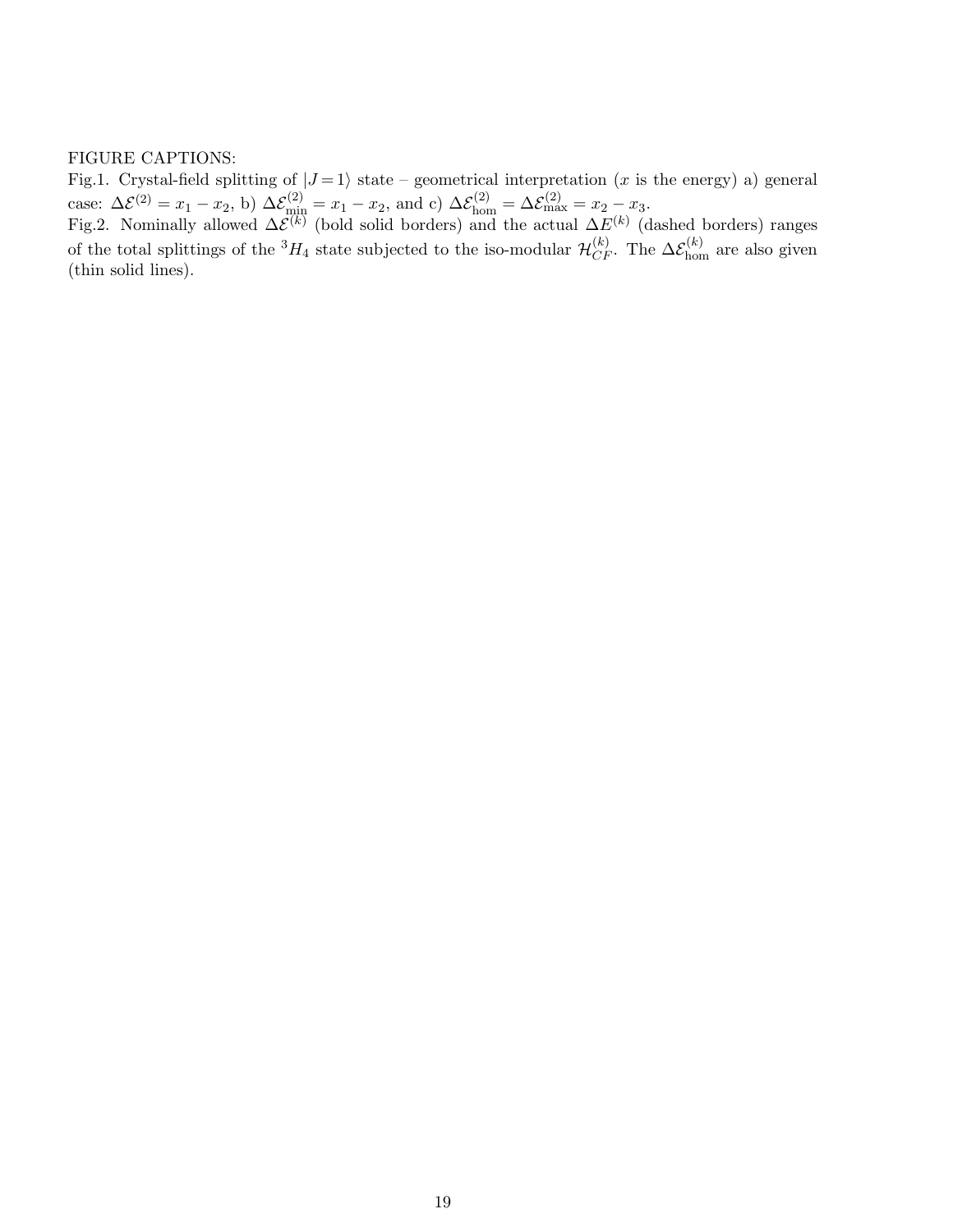#### FIGURE CAPTIONS:

Fig.1. Crystal-field splitting of  $|J=1\rangle$  state – geometrical interpretation (x is the energy) a) general case:  $\Delta \mathcal{E}^{(2)} = x_1 - x_2$ , b)  $\Delta \mathcal{E}_{\text{min}}^{(2)} = x_1 - x_2$ , and c)  $\Delta \mathcal{E}_{\text{hom}}^{(2)} = \Delta \mathcal{E}_{\text{max}}^{(2)} = x_2 - x_3$ .

Fig.2. Nominally allowed  $\Delta \mathcal{E}^{(k)}$  (bold solid borders) and the actual  $\Delta E^{(k)}$  (dashed borders) ranges of the total splittings of the  ${}^3H_4$  state subjected to the iso-modular  $\mathcal{H}_{CF}^{(k)}$ . The  $\Delta \mathcal{E}_{\text{hom}}^{(k)}$  are also given (thin solid lines).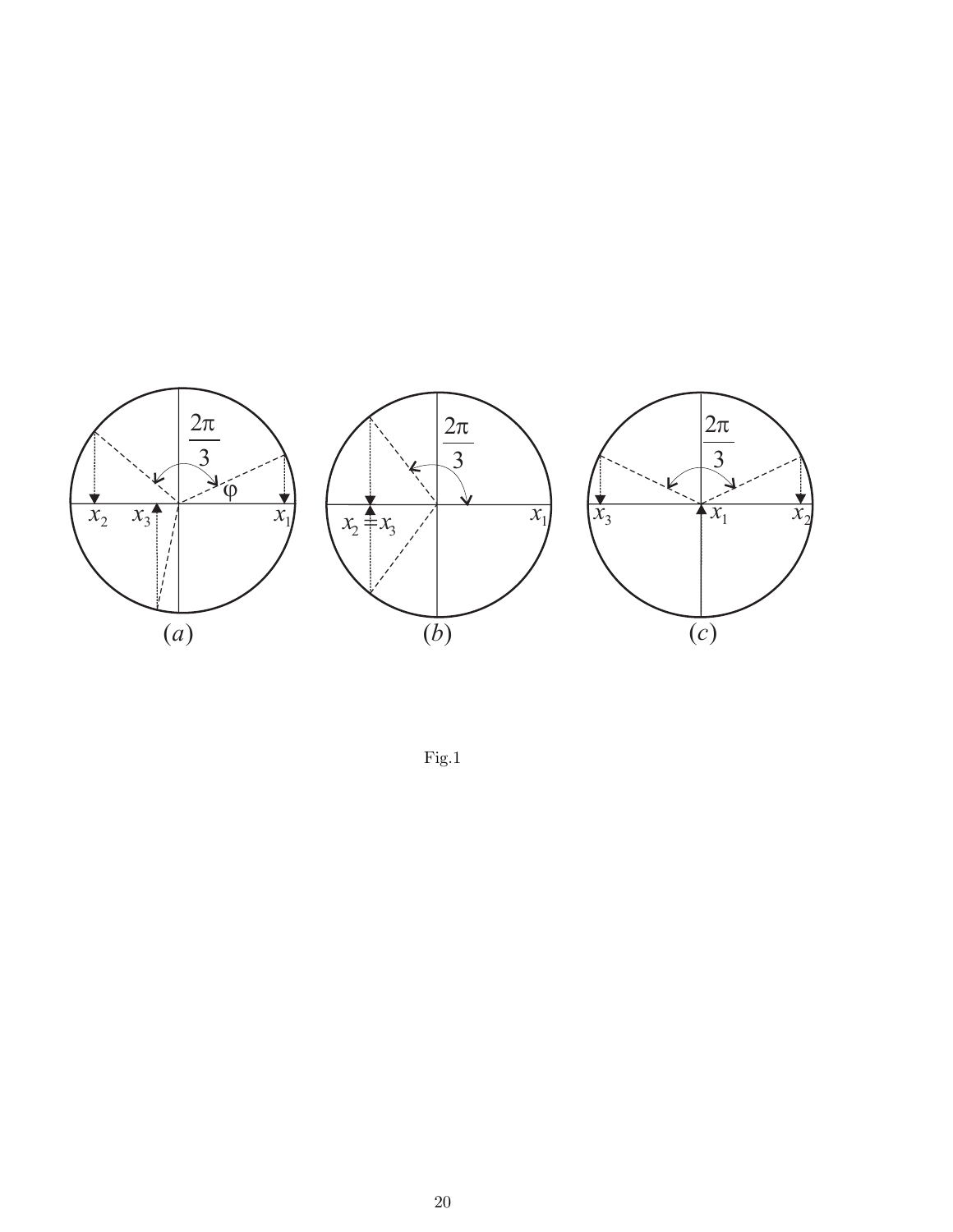

Fig.1